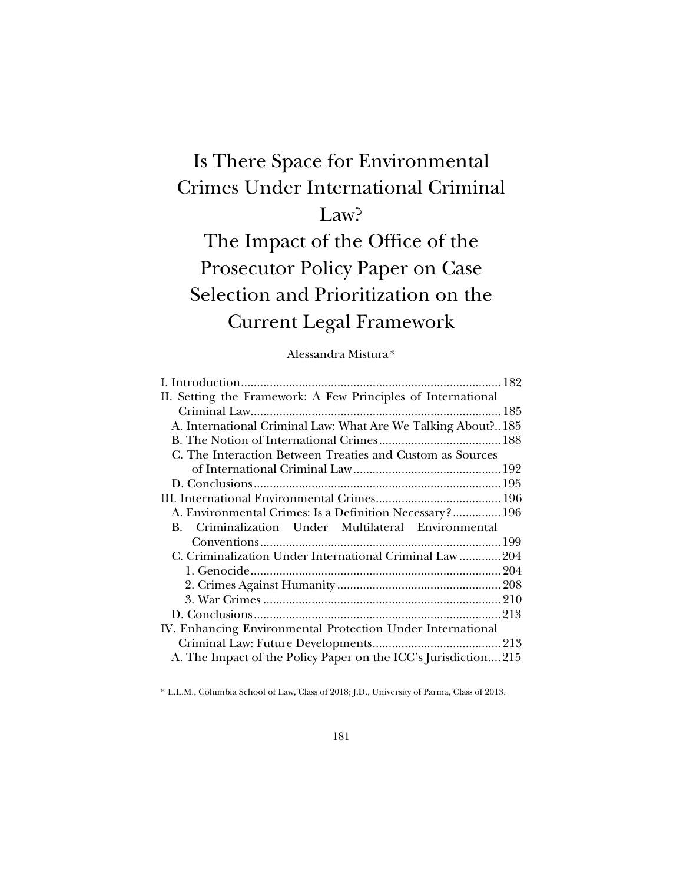## Is There Space for Environmental Crimes Under International Criminal Law?

# The Impact of the Office of the Prosecutor Policy Paper on Case Selection and Prioritization on the Current Legal Framework

## Alessandra Mistura[\\*](#page-0-0)

| II. Setting the Framework: A Few Principles of International  |  |
|---------------------------------------------------------------|--|
|                                                               |  |
| A. International Criminal Law: What Are We Talking About? 185 |  |
|                                                               |  |
| C. The Interaction Between Treaties and Custom as Sources     |  |
|                                                               |  |
|                                                               |  |
|                                                               |  |
| A. Environmental Crimes: Is a Definition Necessary? 196       |  |
|                                                               |  |
| B. Criminalization Under Multilateral Environmental           |  |
|                                                               |  |
| C. Criminalization Under International Criminal Law204        |  |
|                                                               |  |
|                                                               |  |
|                                                               |  |
|                                                               |  |
| IV. Enhancing Environmental Protection Under International    |  |
|                                                               |  |

<span id="page-0-0"></span>\* L.L.M., Columbia School of Law, Class of 2018; J.D., University of Parma, Class of 2013.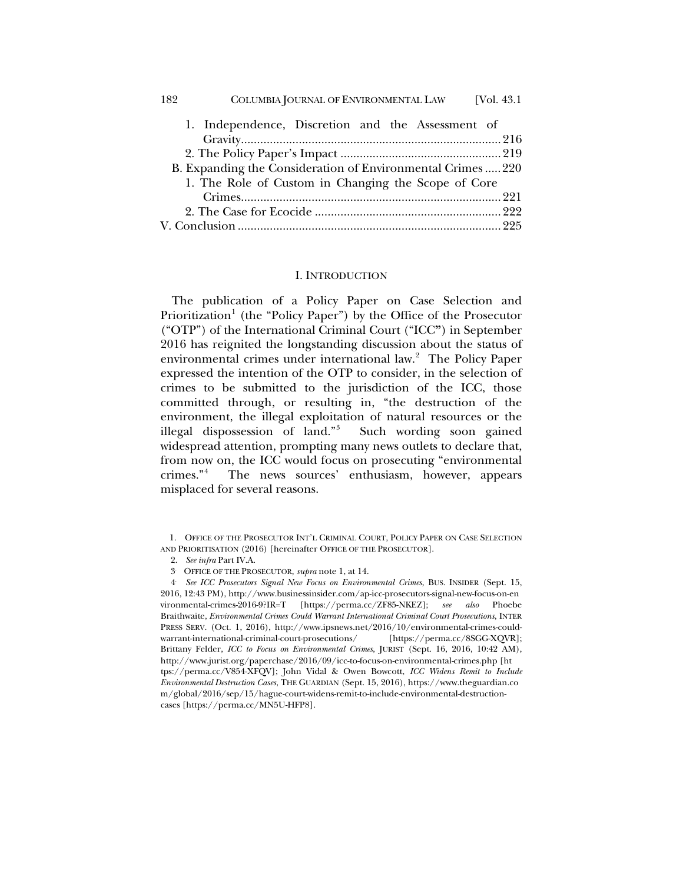| COLUMBIA JOURNAL OF ENVIRONMENTAL LAW<br>182              | [Vol. $43.1$ ] |
|-----------------------------------------------------------|----------------|
| 1. Independence, Discretion and the Assessment of         |                |
|                                                           |                |
|                                                           |                |
| B. Expanding the Consideration of Environmental Crimes220 |                |
| 1. The Role of Custom in Changing the Scope of Core       |                |
|                                                           |                |
|                                                           |                |
|                                                           |                |

### I. INTRODUCTION

<span id="page-1-0"></span>The publication of a Policy Paper on Case Selection and Prioritization<sup>[1](#page-1-1)</sup> (the "Policy Paper") by the Office of the Prosecutor ("OTP") of the International Criminal Court ("ICC**"**) in September 2016 has reignited the longstanding discussion about the status of environmental crimes under international law.<sup>[2](#page-1-2)</sup> The Policy Paper expressed the intention of the OTP to consider, in the selection of crimes to be submitted to the jurisdiction of the ICC, those committed through, or resulting in, "the destruction of the environment, the illegal exploitation of natural resources or the illegal dispossession of land."[3](#page-1-3) Such wording soon gained widespread attention, prompting many news outlets to declare that, from now on, the ICC would focus on prosecuting "environmental crimes."[4](#page-1-4) The news sources' enthusiasm, however, appears misplaced for several reasons.

<span id="page-1-2"></span><span id="page-1-1"></span><sup>1.</sup> OFFICE OF THE PROSECUTOR INT'L CRIMINAL COURT, POLICY PAPER ON CASE SELECTION AND PRIORITISATION (2016) [hereinafter OFFICE OF THE PROSECUTOR].

<sup>2.</sup> *See infra* Part IV.A.

<sup>3.</sup> OFFICE OF THE PROSECUTOR, *supra* not[e 1,](#page-1-0) at 14.

<span id="page-1-4"></span><span id="page-1-3"></span><sup>4.</sup> *See ICC Prosecutors Signal New Focus on Environmental Crimes*, BUS. INSIDER (Sept. 15, 2016, 12:43 PM), http://www.businessinsider.com/ap-icc-prosecutors-signal-new-focus-on-en vironmental-crimes-2016-9?IR=T [https://perma.cc/ZF85-NKEZ]; *see also* Phoebe Braithwaite, *Environmental Crimes Could Warrant International Criminal Court Prosecutions*, INTER PRESS SERV. (Oct. 1, 2016), http://www.ipsnews.net/2016/10/environmental-crimes-couldwarrant-international-criminal-court-prosecutions/ [https://perma.cc/8SGG-XQVR]; Brittany Felder, *ICC to Focus on Environmental Crimes*, JURIST (Sept. 16, 2016, 10:42 AM), http://www.jurist.org/paperchase/2016/09/icc-to-focus-on-environmental-crimes.php [ht tps://perma.cc/V854-XFQV]; John Vidal & Owen Bowcott, *ICC Widens Remit to Include Environmental Destruction Cases*, THE GUARDIAN (Sept. 15, 2016), https://www.theguardian.co m/global/2016/sep/15/hague-court-widens-remit-to-include-environmental-destructioncases [https://perma.cc/MN5U-HFP8].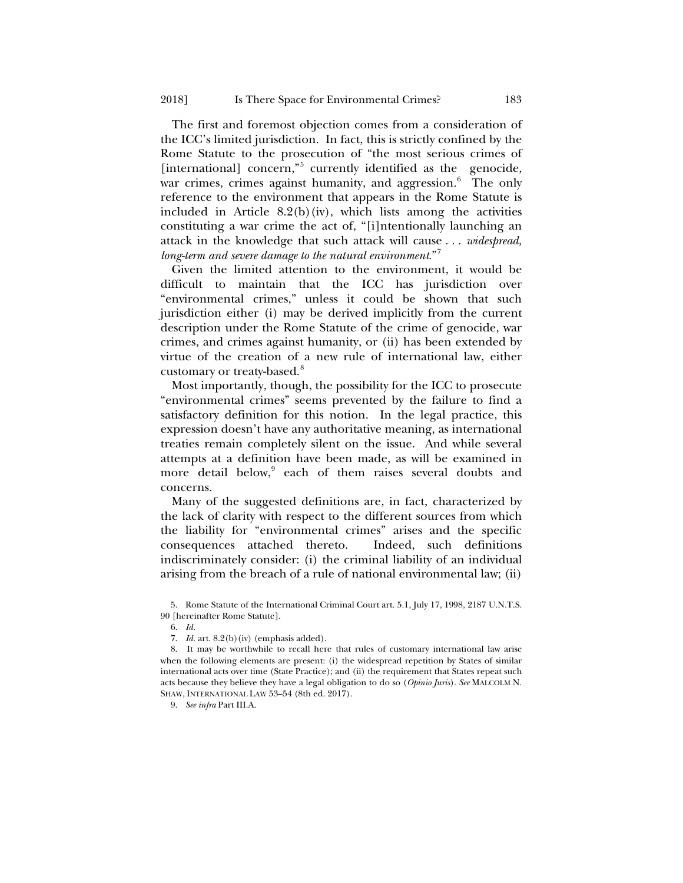<span id="page-2-5"></span>The first and foremost objection comes from a consideration of the ICC's limited jurisdiction. In fact, this is strictly confined by the Rome Statute to the prosecution of "the most serious crimes of [international] concern,"<sup>[5](#page-2-0)</sup> currently identified as the genocide, war crimes, crimes against humanity, and aggression.<sup>[6](#page-2-1)</sup> The only reference to the environment that appears in the Rome Statute is included in Article  $8.2(b)(iv)$ , which lists among the activities constituting a war crime the act of, "[i]ntentionally launching an attack in the knowledge that such attack will cause . . . *widespread, long-term and severe damage to the natural environment*."[7](#page-2-2)

Given the limited attention to the environment, it would be difficult to maintain that the ICC has jurisdiction over "environmental crimes," unless it could be shown that such jurisdiction either (i) may be derived implicitly from the current description under the Rome Statute of the crime of genocide, war crimes, and crimes against humanity, or (ii) has been extended by virtue of the creation of a new rule of international law, either customary or treaty-based.<sup>[8](#page-2-3)</sup>

Most importantly, though, the possibility for the ICC to prosecute "environmental crimes" seems prevented by the failure to find a satisfactory definition for this notion. In the legal practice, this expression doesn't have any authoritative meaning, as international treaties remain completely silent on the issue. And while several attempts at a definition have been made, as will be examined in more detail below,<sup>[9](#page-2-4)</sup> each of them raises several doubts and concerns.

Many of the suggested definitions are, in fact, characterized by the lack of clarity with respect to the different sources from which the liability for "environmental crimes" arises and the specific consequences attached thereto. Indeed, such definitions indiscriminately consider: (i) the criminal liability of an individual arising from the breach of a rule of national environmental law; (ii)

<span id="page-2-1"></span><span id="page-2-0"></span><sup>5.</sup> Rome Statute of the International Criminal Court art. 5.1, July 17, 1998, 2187 U.N.T.S. 90 [hereinafter Rome Statute].

<sup>6.</sup> *Id.*

<sup>7.</sup> *Id.* art. 8.2(b)(iv) (emphasis added).

<span id="page-2-4"></span><span id="page-2-3"></span><span id="page-2-2"></span><sup>8.</sup> It may be worthwhile to recall here that rules of customary international law arise when the following elements are present: (i) the widespread repetition by States of similar international acts over time (State Practice); and (ii) the requirement that States repeat such acts because they believe they have a legal obligation to do so (*Opinio Juris*). *See* MALCOLM N. SHAW, INTERNATIONAL LAW 53–54 (8th ed. 2017).

<sup>9.</sup> *See infra* Part III.A.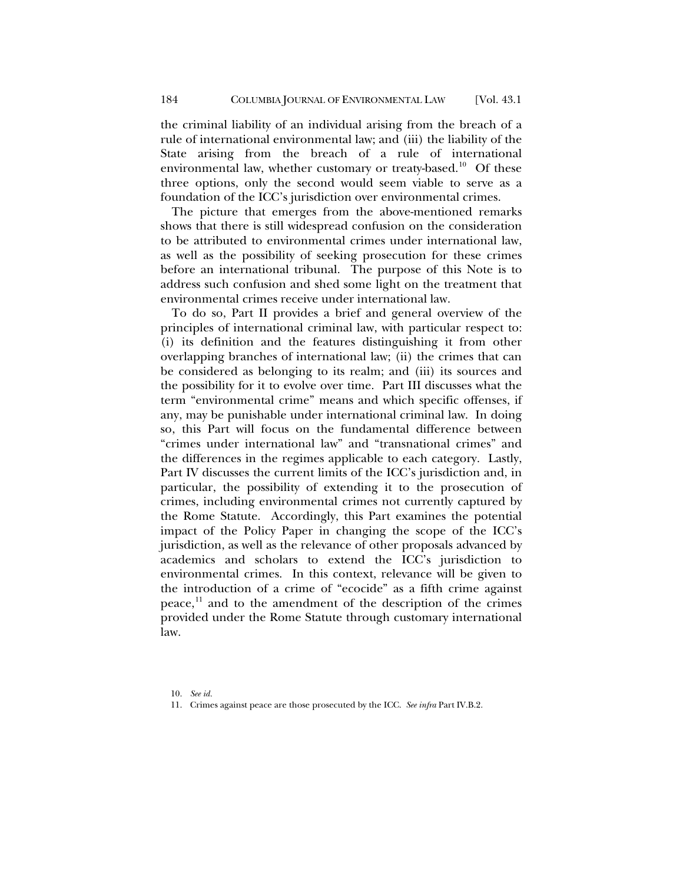the criminal liability of an individual arising from the breach of a rule of international environmental law; and (iii) the liability of the State arising from the breach of a rule of international environmental law, whether customary or treaty-based.<sup>10</sup> Of these three options, only the second would seem viable to serve as a foundation of the ICC's jurisdiction over environmental crimes.

The picture that emerges from the above-mentioned remarks shows that there is still widespread confusion on the consideration to be attributed to environmental crimes under international law, as well as the possibility of seeking prosecution for these crimes before an international tribunal. The purpose of this Note is to address such confusion and shed some light on the treatment that environmental crimes receive under international law.

To do so, Part II provides a brief and general overview of the principles of international criminal law, with particular respect to: (i) its definition and the features distinguishing it from other overlapping branches of international law; (ii) the crimes that can be considered as belonging to its realm; and (iii) its sources and the possibility for it to evolve over time. Part III discusses what the term "environmental crime" means and which specific offenses, if any, may be punishable under international criminal law. In doing so, this Part will focus on the fundamental difference between "crimes under international law" and "transnational crimes" and the differences in the regimes applicable to each category. Lastly, Part IV discusses the current limits of the ICC's jurisdiction and, in particular, the possibility of extending it to the prosecution of crimes, including environmental crimes not currently captured by the Rome Statute. Accordingly, this Part examines the potential impact of the Policy Paper in changing the scope of the ICC's jurisdiction, as well as the relevance of other proposals advanced by academics and scholars to extend the ICC's jurisdiction to environmental crimes. In this context, relevance will be given to the introduction of a crime of "ecocide" as a fifth crime against peace, $^{11}$  $^{11}$  $^{11}$  and to the amendment of the description of the crimes provided under the Rome Statute through customary international law.

<sup>10.</sup> *See id.* 

<span id="page-3-1"></span><span id="page-3-0"></span><sup>11.</sup> Crimes against peace are those prosecuted by the ICC. *See infra* Part IV.B.2.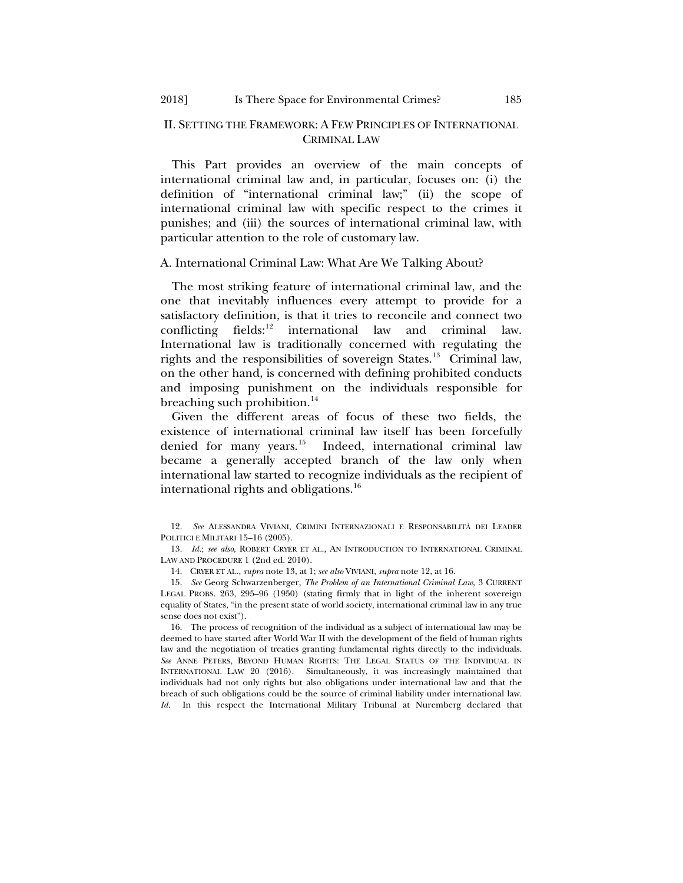## II. SETTING THE FRAMEWORK: A FEW PRINCIPLES OF INTERNATIONAL CRIMINAL LAW

This Part provides an overview of the main concepts of international criminal law and, in particular, focuses on: (i) the definition of "international criminal law;" (ii) the scope of international criminal law with specific respect to the crimes it punishes; and (iii) the sources of international criminal law, with particular attention to the role of customary law.

#### A. International Criminal Law: What Are We Talking About?

<span id="page-4-1"></span>The most striking feature of international criminal law, and the one that inevitably influences every attempt to provide for a satisfactory definition, is that it tries to reconcile and connect two conflicting fields: $^{12}$  $^{12}$  $^{12}$  international law and criminal law. International law is traditionally concerned with regulating the rights and the responsibilities of sovereign States.<sup>13</sup> Criminal law, on the other hand, is concerned with defining prohibited conducts and imposing punishment on the individuals responsible for breaching such prohibition.<sup>[14](#page-4-4)</sup>

<span id="page-4-0"></span>Given the different areas of focus of these two fields, the existence of international criminal law itself has been forcefully denied for many years.<sup>[15](#page-4-5)</sup> Indeed, international criminal law became a generally accepted branch of the law only when international law started to recognize individuals as the recipient of international rights and obligations.<sup>[16](#page-4-6)</sup>

14. CRYER ET AL., *supra* note [13,](#page-4-0) at 1; *see also* VIVIANI, *supra* not[e 12,](#page-4-1) at 16.

<span id="page-4-5"></span><span id="page-4-4"></span>15. *See* Georg Schwarzenberger, *The Problem of an International Criminal Law*, 3 CURRENT LEGAL PROBS. 263, 295–96 (1950) (stating firmly that in light of the inherent sovereign equality of States, "in the present state of world society, international criminal law in any true sense does not exist").

<span id="page-4-6"></span>16. The process of recognition of the individual as a subject of international law may be deemed to have started after World War II with the development of the field of human rights law and the negotiation of treaties granting fundamental rights directly to the individuals. *See* ANNE PETERS, BEYOND HUMAN RIGHTS: THE LEGAL STATUS OF THE INDIVIDUAL IN INTERNATIONAL LAW 20 (2016). Simultaneously, it was increasingly maintained that individuals had not only rights but also obligations under international law and that the breach of such obligations could be the source of criminal liability under international law. *Id.* In this respect the International Military Tribunal at Nuremberg declared that

<span id="page-4-2"></span><sup>12.</sup> *See* ALESSANDRA VIVIANI, CRIMINI INTERNAZIONALI E RESPONSABILITÀ DEI LEADER POLITICI E MILITARI 15–16 (2005).

<span id="page-4-3"></span><sup>13.</sup> *Id.*; *see also*, ROBERT CRYER ET AL., AN INTRODUCTION TO INTERNATIONAL CRIMINAL LAW AND PROCEDURE 1 (2nd ed. 2010).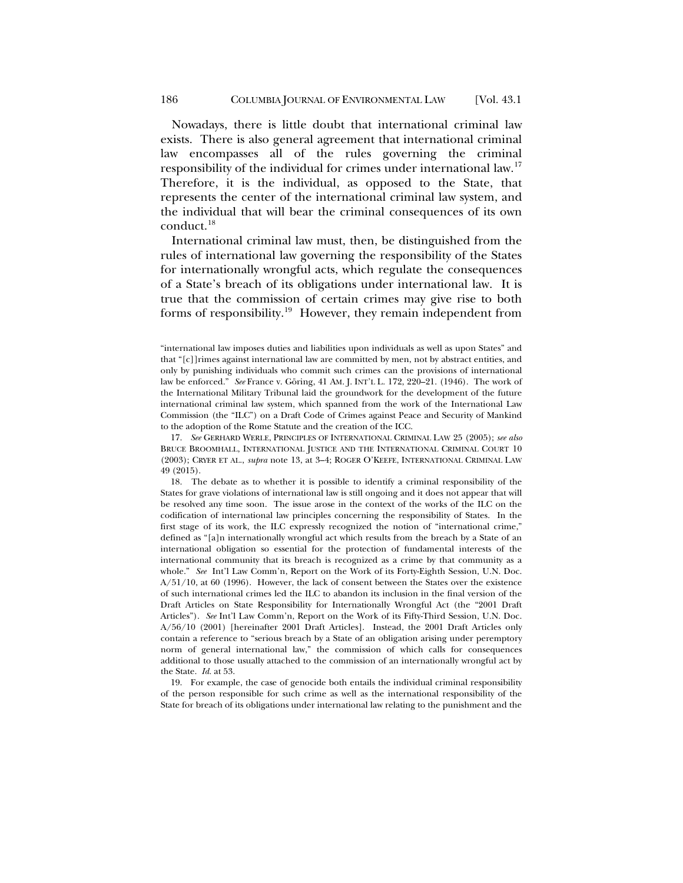<span id="page-5-3"></span>Nowadays, there is little doubt that international criminal law exists. There is also general agreement that international criminal law encompasses all of the rules governing the criminal responsibility of the individual for crimes under international law.<sup>[17](#page-5-0)</sup> Therefore, it is the individual, as opposed to the State, that represents the center of the international criminal law system, and the individual that will bear the criminal consequences of its own conduct.<sup>[18](#page-5-1)</sup>

<span id="page-5-4"></span>International criminal law must, then, be distinguished from the rules of international law governing the responsibility of the States for internationally wrongful acts, which regulate the consequences of a State's breach of its obligations under international law. It is true that the commission of certain crimes may give rise to both forms of responsibility.[19](#page-5-2) However, they remain independent from

<span id="page-5-0"></span>17. *See* GERHARD WERLE, PRINCIPLES OF INTERNATIONAL CRIMINAL LAW 25 (2005); *see also* BRUCE BROOMHALL, INTERNATIONAL JUSTICE AND THE INTERNATIONAL CRIMINAL COURT 10 (2003); CRYER ET AL., *supra* not[e 13,](#page-4-0) at 3–4; ROGER O'KEEFE, INTERNATIONAL CRIMINAL LAW 49 (2015).

<span id="page-5-1"></span>18. The debate as to whether it is possible to identify a criminal responsibility of the States for grave violations of international law is still ongoing and it does not appear that will be resolved any time soon. The issue arose in the context of the works of the ILC on the codification of international law principles concerning the responsibility of States. In the first stage of its work, the ILC expressly recognized the notion of "international crime," defined as "[a]n internationally wrongful act which results from the breach by a State of an international obligation so essential for the protection of fundamental interests of the international community that its breach is recognized as a crime by that community as a whole." *See* Int'l Law Comm'n, Report on the Work of its Forty-Eighth Session, U.N. Doc. A/51/10, at 60 (1996). However, the lack of consent between the States over the existence of such international crimes led the ILC to abandon its inclusion in the final version of the Draft Articles on State Responsibility for Internationally Wrongful Act (the "2001 Draft Articles"). *See* Int'l Law Comm'n, Report on the Work of its Fifty-Third Session, U.N. Doc. A/56/10 (2001) [hereinafter 2001 Draft Articles]. Instead, the 2001 Draft Articles only contain a reference to "serious breach by a State of an obligation arising under peremptory norm of general international law," the commission of which calls for consequences additional to those usually attached to the commission of an internationally wrongful act by the State. *Id.* at 53.

<span id="page-5-2"></span>19. For example, the case of genocide both entails the individual criminal responsibility of the person responsible for such crime as well as the international responsibility of the State for breach of its obligations under international law relating to the punishment and the

<sup>&</sup>quot;international law imposes duties and liabilities upon individuals as well as upon States" and that "[c]]rimes against international law are committed by men, not by abstract entities, and only by punishing individuals who commit such crimes can the provisions of international law be enforced." *See* France v. Göring, 41 AM. J. INT'L L. 172, 220–21. (1946). The work of the International Military Tribunal laid the groundwork for the development of the future international criminal law system, which spanned from the work of the International Law Commission (the "ILC") on a Draft Code of Crimes against Peace and Security of Mankind to the adoption of the Rome Statute and the creation of the ICC.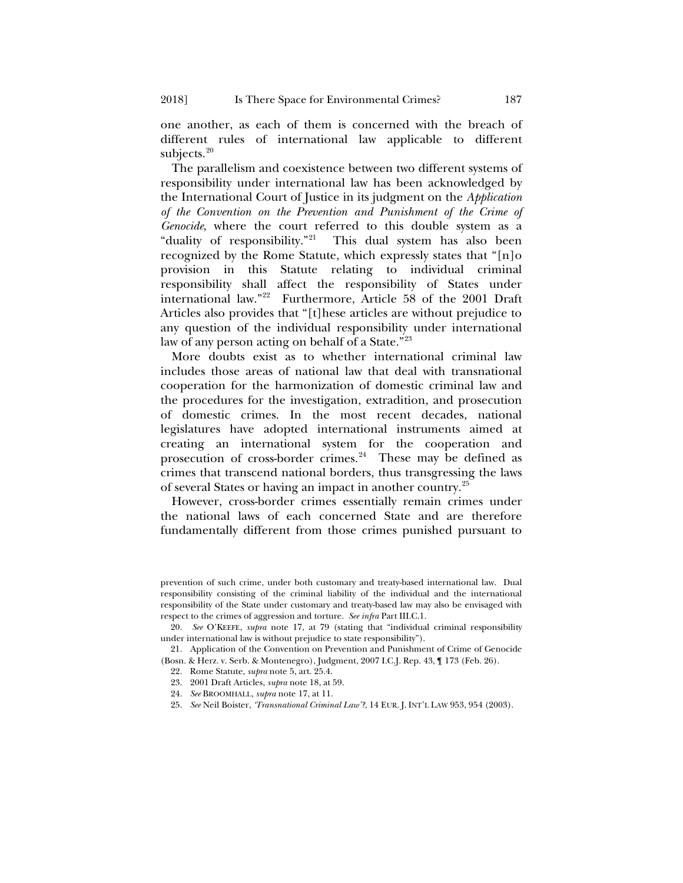one another, as each of them is concerned with the breach of different rules of international law applicable to different subjects. $20$ 

The parallelism and coexistence between two different systems of responsibility under international law has been acknowledged by the International Court of Justice in its judgment on the *Application of the Convention on the Prevention and Punishment of the Crime of Genocide*, where the court referred to this double system as a "duality of responsibility."[21](#page-6-1) This dual system has also been recognized by the Rome Statute, which expressly states that "[n]o provision in this Statute relating to individual criminal responsibility shall affect the responsibility of States under international law.["22](#page-6-2) Furthermore, Article 58 of the 2001 Draft Articles also provides that "[t]hese articles are without prejudice to any question of the individual responsibility under international law of any person acting on behalf of a State."<sup>[23](#page-6-3)</sup>

More doubts exist as to whether international criminal law includes those areas of national law that deal with transnational cooperation for the harmonization of domestic criminal law and the procedures for the investigation, extradition, and prosecution of domestic crimes. In the most recent decades, national legislatures have adopted international instruments aimed at creating an international system for the cooperation and prosecution of cross-border crimes.<sup>[24](#page-6-4)</sup> These may be defined as crimes that transcend national borders, thus transgressing the laws of several States or having an impact in another country.[25](#page-6-5)

<span id="page-6-6"></span>However, cross-border crimes essentially remain crimes under the national laws of each concerned State and are therefore fundamentally different from those crimes punished pursuant to

- 23. 2001 Draft Articles, *supra* not[e 18,](#page-5-4) at 59.
- 24. *See* BROOMHALL, *supra* not[e 17,](#page-5-3) at 11.
- <span id="page-6-5"></span>25. *See* Neil Boister, *'Transnational Criminal Law'?*, 14 EUR. J. INT'L LAW 953, 954 (2003).

prevention of such crime, under both customary and treaty-based international law. Dual responsibility consisting of the criminal liability of the individual and the international responsibility of the State under customary and treaty-based law may also be envisaged with respect to the crimes of aggression and torture. *See infra* Part III.C.1.

<span id="page-6-1"></span><span id="page-6-0"></span><sup>20.</sup> *See* O'KEEFE, *supra* note [17,](#page-5-3) at 79 (stating that "individual criminal responsibility under international law is without prejudice to state responsibility").

<span id="page-6-4"></span><span id="page-6-3"></span><span id="page-6-2"></span><sup>21.</sup> Application of the Convention on Prevention and Punishment of Crime of Genocide (Bosn. & Herz. v. Serb. & Montenegro), Judgment, 2007 I.C.J. Rep. 43, ¶ 173 (Feb. 26).

<sup>22.</sup> Rome Statute, *supra* not[e 5,](#page-2-5) art. 25.4.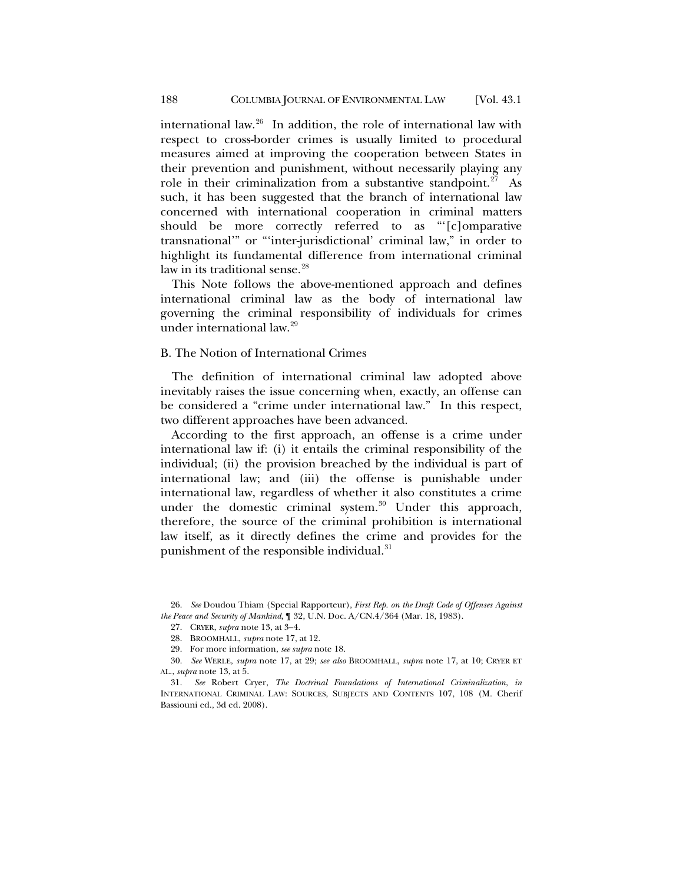international law. $26$  In addition, the role of international law with respect to cross-border crimes is usually limited to procedural measures aimed at improving the cooperation between States in their prevention and punishment, without necessarily playing any role in their criminalization from a substantive standpoint.<sup>27</sup> As such, it has been suggested that the branch of international law concerned with international cooperation in criminal matters should be more correctly referred to as "'[c]omparative transnational'" or "'inter-jurisdictional' criminal law," in order to highlight its fundamental difference from international criminal law in its traditional sense.<sup>[28](#page-7-2)</sup>

This Note follows the above-mentioned approach and defines international criminal law as the body of international law governing the criminal responsibility of individuals for crimes under international law[.29](#page-7-3)

#### B. The Notion of International Crimes

The definition of international criminal law adopted above inevitably raises the issue concerning when, exactly, an offense can be considered a "crime under international law." In this respect, two different approaches have been advanced.

According to the first approach, an offense is a crime under international law if: (i) it entails the criminal responsibility of the individual; (ii) the provision breached by the individual is part of international law; and (iii) the offense is punishable under international law, regardless of whether it also constitutes a crime under the domestic criminal system. [30](#page-7-4) Under this approach, therefore, the source of the criminal prohibition is international law itself, as it directly defines the crime and provides for the punishment of the responsible individual.<sup>[31](#page-7-5)</sup>

<span id="page-7-1"></span><span id="page-7-0"></span><sup>26.</sup> *See* Doudou Thiam (Special Rapporteur), *First Rep. on the Draft Code of Offenses Against the Peace and Security of Mankind*, ¶ 32, U.N. Doc. A/CN.4/364 (Mar. 18, 1983).

<span id="page-7-6"></span><sup>27.</sup> CRYER, *supra* note [13,](#page-4-0) at 3–4.

<sup>28.</sup> BROOMHALL, *supra* note [17,](#page-5-3) at 12.

<sup>29.</sup> For more information, *see supra* not[e 18.](#page-5-4)

<span id="page-7-4"></span><span id="page-7-3"></span><span id="page-7-2"></span><sup>30.</sup> *See* WERLE, *supra* note [17,](#page-5-3) at 29; *see also* BROOMHALL, *supra* note [17,](#page-5-3) at 10; CRYER ET AL., *supra* not[e 13,](#page-4-0) at 5.

<span id="page-7-5"></span><sup>31.</sup> *See* Robert Cryer, *The Doctrinal Foundations of International Criminalization*, *in* INTERNATIONAL CRIMINAL LAW: SOURCES, SUBJECTS AND CONTENTS 107, 108 (M. Cherif Bassiouni ed., 3d ed. 2008).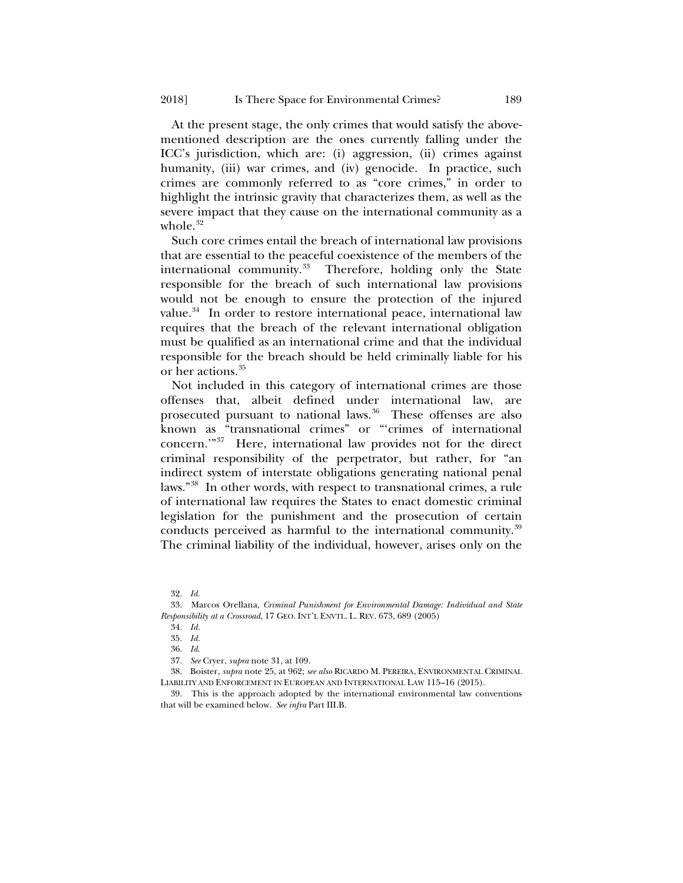At the present stage, the only crimes that would satisfy the abovementioned description are the ones currently falling under the ICC's jurisdiction, which are: (i) aggression, (ii) crimes against humanity, (iii) war crimes, and (iv) genocide. In practice, such crimes are commonly referred to as "core crimes," in order to highlight the intrinsic gravity that characterizes them, as well as the severe impact that they cause on the international community as a whole. $32$ 

<span id="page-8-8"></span>Such core crimes entail the breach of international law provisions that are essential to the peaceful coexistence of the members of the international community. $33$  Therefore, holding only the State responsible for the breach of such international law provisions would not be enough to ensure the protection of the injured value.<sup>34</sup> In order to restore international peace, international law requires that the breach of the relevant international obligation must be qualified as an international crime and that the individual responsible for the breach should be held criminally liable for his or her actions.<sup>[35](#page-8-3)</sup>

<span id="page-8-9"></span>Not included in this category of international crimes are those offenses that, albeit defined under international law, are prosecuted pursuant to national laws.<sup>36</sup> These offenses are also known as "transnational crimes" or "'crimes of international concern.'["37](#page-8-5) Here, international law provides not for the direct criminal responsibility of the perpetrator, but rather, for "an indirect system of interstate obligations generating national penal laws."[38](#page-8-6) In other words, with respect to transnational crimes, a rule of international law requires the States to enact domestic criminal legislation for the punishment and the prosecution of certain conducts perceived as harmful to the international community.<sup>[39](#page-8-7)</sup> The criminal liability of the individual, however, arises only on the

<sup>32.</sup> *Id.* 

<span id="page-8-3"></span><span id="page-8-2"></span><span id="page-8-1"></span><span id="page-8-0"></span><sup>33.</sup> Marcos Orellana, *Criminal Punishment for Environmental Damage: Individual and State Responsibility at a Crossroad*, 17 GEO. INT'L ENVTL. L. REV. 673, 689 (2005)

<sup>34.</sup> *Id.* 

<sup>35.</sup> *Id.* 

<sup>36.</sup> *Id*.

<sup>37.</sup> *See* Cryer, *supra* not[e 31,](#page-7-6) at 109.

<span id="page-8-6"></span><span id="page-8-5"></span><span id="page-8-4"></span><sup>38.</sup> Boister, *supra* not[e 25,](#page-6-6) at 962; *see also* RICARDO M. PEREIRA, ENVIRONMENTAL CRIMINAL LIABILITY AND ENFORCEMENT IN EUROPEAN AND INTERNATIONAL LAW 115–16 (2015).

<span id="page-8-7"></span><sup>39.</sup> This is the approach adopted by the international environmental law conventions that will be examined below. *See infra* Part III.B.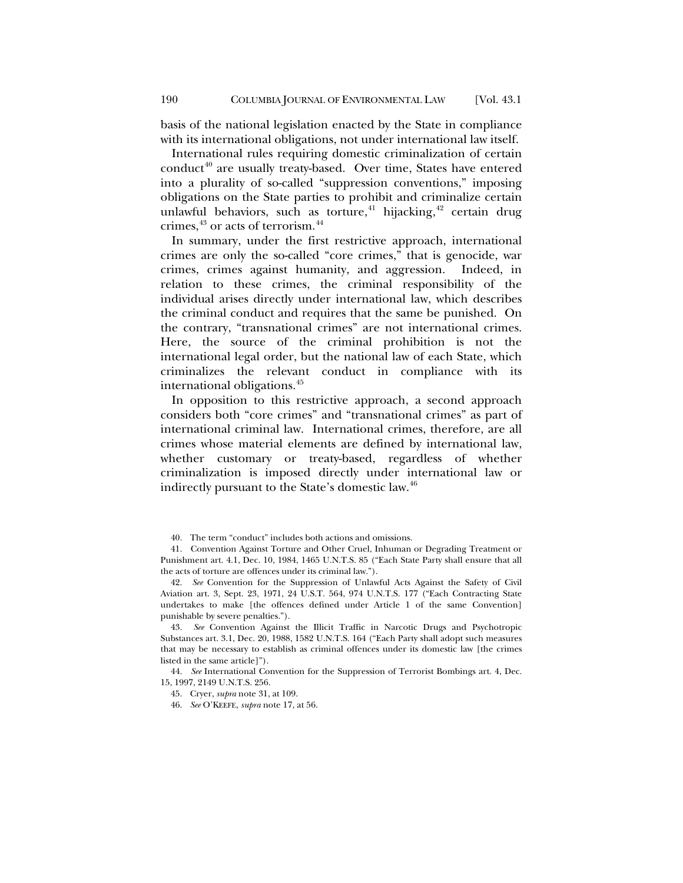basis of the national legislation enacted by the State in compliance with its international obligations, not under international law itself.

International rules requiring domestic criminalization of certain conduct<sup>[40](#page-9-0)</sup> are usually treaty-based. Over time, States have entered into a plurality of so-called "suppression conventions," imposing obligations on the State parties to prohibit and criminalize certain unlawful behaviors, such as torture, $41$  hijacking, $42$  certain drug crimes,  $43$  or acts of terrorism.  $44$ 

In summary, under the first restrictive approach, international crimes are only the so-called "core crimes," that is genocide, war crimes, crimes against humanity, and aggression. Indeed, in relation to these crimes, the criminal responsibility of the individual arises directly under international law, which describes the criminal conduct and requires that the same be punished. On the contrary, "transnational crimes" are not international crimes. Here, the source of the criminal prohibition is not the international legal order, but the national law of each State, which criminalizes the relevant conduct in compliance with its international obligations.<sup>[45](#page-9-5)</sup>

In opposition to this restrictive approach, a second approach considers both "core crimes" and "transnational crimes" as part of international criminal law. International crimes, therefore, are all crimes whose material elements are defined by international law, whether customary or treaty-based, regardless of whether criminalization is imposed directly under international law or indirectly pursuant to the State's domestic law.<sup>46</sup>

<span id="page-9-3"></span>43. *See* Convention Against the Illicit Traffic in Narcotic Drugs and Psychotropic Substances art. 3.1, Dec. 20, 1988, 1582 U.N.T.S. 164 ("Each Party shall adopt such measures that may be necessary to establish as criminal offences under its domestic law [the crimes listed in the same article]").

<span id="page-9-6"></span><span id="page-9-5"></span><span id="page-9-4"></span>44. *See* International Convention for the Suppression of Terrorist Bombings art. 4, Dec. 15, 1997, 2149 U.N.T.S. 256.

<sup>40.</sup> The term "conduct" includes both actions and omissions.

<span id="page-9-1"></span><span id="page-9-0"></span><sup>41.</sup> Convention Against Torture and Other Cruel, Inhuman or Degrading Treatment or Punishment art. 4.1, Dec. 10, 1984, 1465 U.N.T.S. 85 ("Each State Party shall ensure that all the acts of torture are offences under its criminal law.").

<span id="page-9-2"></span><sup>42.</sup> *See* Convention for the Suppression of Unlawful Acts Against the Safety of Civil Aviation art. 3, Sept. 23, 1971, 24 U.S.T. 564, 974 U.N.T.S. 177 ("Each Contracting State undertakes to make [the offences defined under Article 1 of the same Convention] punishable by severe penalties.").

<sup>45.</sup> Cryer, *supra* not[e 31,](#page-7-6) at 109.

<sup>46.</sup> *See* O'KEEFE, *supra* not[e 17,](#page-5-3) at 56.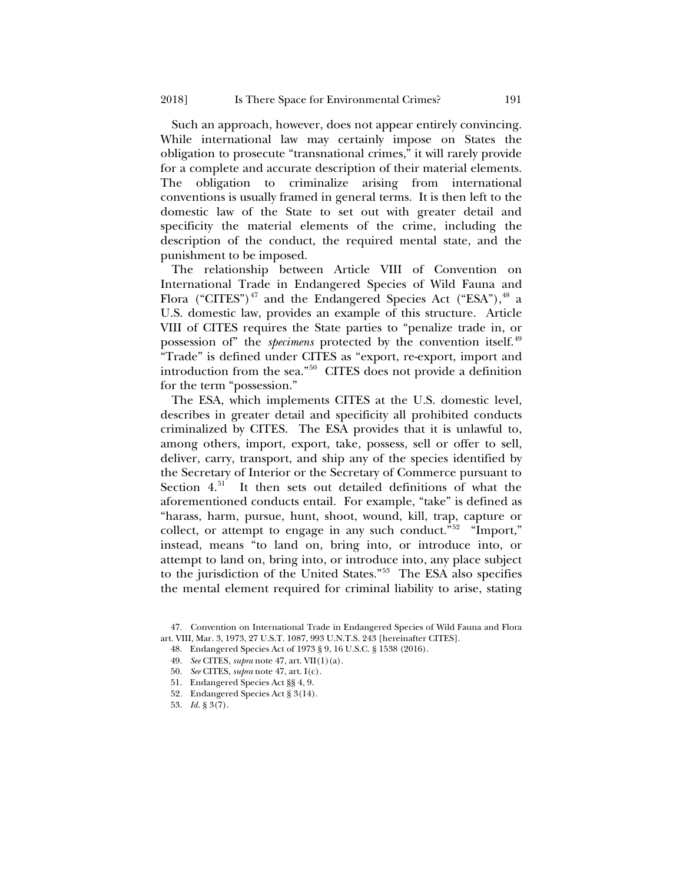Such an approach, however, does not appear entirely convincing. While international law may certainly impose on States the obligation to prosecute "transnational crimes," it will rarely provide for a complete and accurate description of their material elements. The obligation to criminalize arising from international conventions is usually framed in general terms. It is then left to the domestic law of the State to set out with greater detail and specificity the material elements of the crime, including the description of the conduct, the required mental state, and the punishment to be imposed.

<span id="page-10-0"></span>The relationship between Article VIII of Convention on International Trade in Endangered Species of Wild Fauna and Flora ("CITES")<sup>[47](#page-10-1)</sup> and the Endangered Species Act ("ESA"),  $48$  a U.S. domestic law, provides an example of this structure. Article VIII of CITES requires the State parties to "penalize trade in, or possession of" the *specimens* protected by the convention itself.<sup>[49](#page-10-3)</sup> "Trade" is defined under CITES as "export, re-export, import and introduction from the sea."[50](#page-10-4) CITES does not provide a definition for the term "possession."

The ESA, which implements CITES at the U.S. domestic level, describes in greater detail and specificity all prohibited conducts criminalized by CITES. The ESA provides that it is unlawful to, among others, import, export, take, possess, sell or offer to sell, deliver, carry, transport, and ship any of the species identified by the Secretary of Interior or the Secretary of Commerce pursuant to Section 4.<sup>51</sup> It then sets out detailed definitions of what the aforementioned conducts entail. For example, "take" is defined as "harass, harm, pursue, hunt, shoot, wound, kill, trap, capture or collect, or attempt to engage in any such conduct."<sup>[52](#page-10-6)</sup> "Import," instead, means "to land on, bring into, or introduce into, or attempt to land on, bring into, or introduce into, any place subject to the jurisdiction of the United States."[53](#page-10-7) The ESA also specifies the mental element required for criminal liability to arise, stating

48. Endangered Species Act of 1973 § 9, 16 U.S.C. § 1538 (2016).

- 51. Endangered Species Act §§ 4, 9.
- 52*.* Endangered Species Act § 3(14).
- <span id="page-10-7"></span><span id="page-10-6"></span>53. *Id.* § 3(7).

<span id="page-10-5"></span><span id="page-10-4"></span><span id="page-10-3"></span><span id="page-10-2"></span><span id="page-10-1"></span><sup>47.</sup> Convention on International Trade in Endangered Species of Wild Fauna and Flora art. VIII, Mar. 3, 1973, 27 U.S.T. 1087, 993 U.N.T.S. 243 [hereinafter CITES].

<sup>49.</sup> *See* CITES, *supra* not[e 47,](#page-10-0) art. VII(1)(a).

<sup>50.</sup> *See* CITES, *supra* not[e 47,](#page-10-0) art. I(c).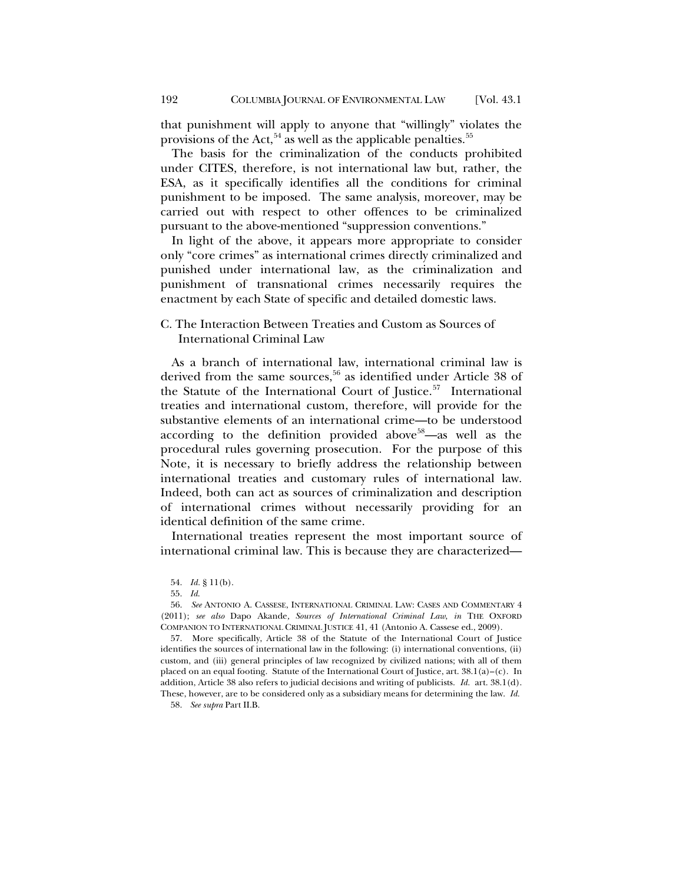that punishment will apply to anyone that "willingly" violates the provisions of the Act,  $54$  as well as the applicable penalties.  $55$ 

The basis for the criminalization of the conducts prohibited under CITES, therefore, is not international law but, rather, the ESA, as it specifically identifies all the conditions for criminal punishment to be imposed. The same analysis, moreover, may be carried out with respect to other offences to be criminalized pursuant to the above-mentioned "suppression conventions."

In light of the above, it appears more appropriate to consider only "core crimes" as international crimes directly criminalized and punished under international law, as the criminalization and punishment of transnational crimes necessarily requires the enactment by each State of specific and detailed domestic laws.

## C. The Interaction Between Treaties and Custom as Sources of International Criminal Law

As a branch of international law, international criminal law is derived from the same sources,<sup>56</sup> as identified under Article 38 of the Statute of the International Court of Justice.<sup>57</sup> International treaties and international custom, therefore, will provide for the substantive elements of an international crime—to be understood according to the definition provided above<sup>[58](#page-11-4)</sup>—as well as the procedural rules governing prosecution. For the purpose of this Note, it is necessary to briefly address the relationship between international treaties and customary rules of international law. Indeed, both can act as sources of criminalization and description of international crimes without necessarily providing for an identical definition of the same crime.

International treaties represent the most important source of international criminal law. This is because they are characterized—

54. *Id.* § 11(b).

<span id="page-11-4"></span>58. *See supra* Part II.B.

<sup>55.</sup> *Id*.

<span id="page-11-2"></span><span id="page-11-1"></span><span id="page-11-0"></span><sup>56.</sup> *See* ANTONIO A. CASSESE, INTERNATIONAL CRIMINAL LAW: CASES AND COMMENTARY 4 (2011); *see also* Dapo Akande*, Sources of International Criminal Law*, *in* THE OXFORD COMPANION TO INTERNATIONAL CRIMINAL JUSTICE 41, 41 (Antonio A. Cassese ed., 2009).

<span id="page-11-3"></span><sup>57.</sup> More specifically, Article 38 of the Statute of the International Court of Justice identifies the sources of international law in the following: (i) international conventions, (ii) custom, and (iii) general principles of law recognized by civilized nations; with all of them placed on an equal footing. Statute of the International Court of Justice, art. 38.1(a)–(c). In addition, Article 38 also refers to judicial decisions and writing of publicists. *Id.* art. 38.1(d). These, however, are to be considered only as a subsidiary means for determining the law. *Id.*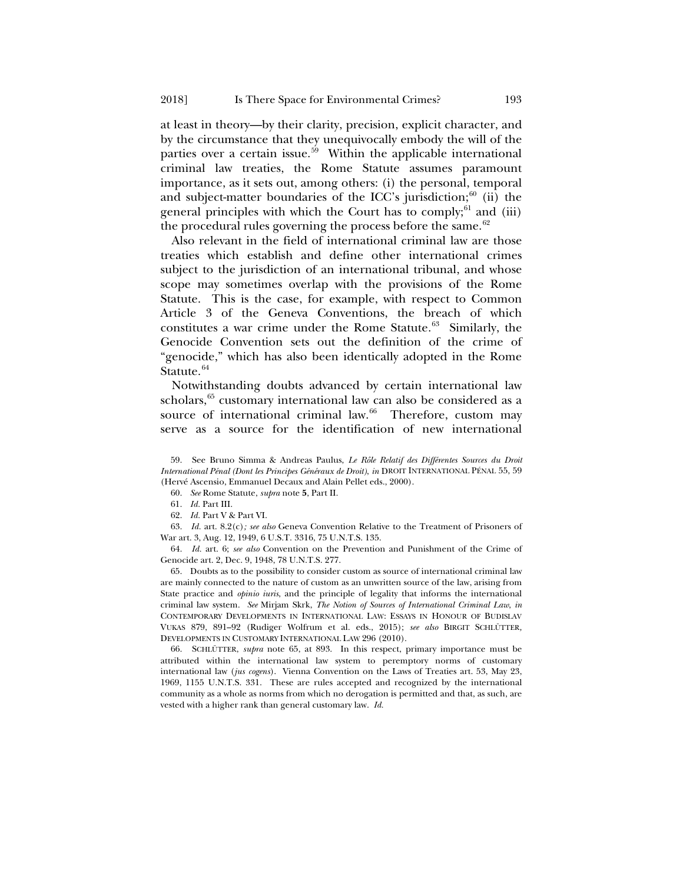at least in theory—by their clarity, precision, explicit character, and by the circumstance that they unequivocally embody the will of the parties over a certain issue.<sup>59</sup> Within the applicable international criminal law treaties, the Rome Statute assumes paramount importance, as it sets out, among others: (i) the personal, temporal and subject-matter boundaries of the ICC's jurisdiction; $60$  (ii) the general principles with which the Court has to comply; $61$  and (iii) the procedural rules governing the process before the same. $62$ 

Also relevant in the field of international criminal law are those treaties which establish and define other international crimes subject to the jurisdiction of an international tribunal, and whose scope may sometimes overlap with the provisions of the Rome Statute. This is the case, for example, with respect to Common Article 3 of the Geneva Conventions, the breach of which constitutes a war crime under the Rome Statute. $63$  Similarly, the Genocide Convention sets out the definition of the crime of "genocide," which has also been identically adopted in the Rome Statute.<sup>[64](#page-12-6)</sup>

<span id="page-12-0"></span>Notwithstanding doubts advanced by certain international law scholars,<sup>[65](#page-12-7)</sup> customary international law can also be considered as a source of international criminal law.<sup>66</sup> Therefore, custom may serve as a source for the identification of new international

<span id="page-12-1"></span>59. See Bruno Simma & Andreas Paulus, *Le Rôle Relatif des Différentes Sources du Droit International Pénal (Dont les Principes Généraux de Droit)*, *in* DROIT INTERNATIONAL PÉNAL 55, 59 (Hervé Ascensio, Emmanuel Decaux and Alain Pellet eds., 2000).

60. *See* Rome Statute, *supra* note **[5](#page-2-5)**, Part II.

61. *Id.* Part III.

62. *Id.* Part V & Part VI.

<span id="page-12-5"></span><span id="page-12-4"></span><span id="page-12-3"></span><span id="page-12-2"></span>63. *Id.* art. 8.2(c)*; see also* Geneva Convention Relative to the Treatment of Prisoners of War art. 3, Aug. 12, 1949, 6 U.S.T. 3316, 75 U.N.T.S. 135.

<span id="page-12-6"></span>64. *Id.* art. 6; *see also* Convention on the Prevention and Punishment of the Crime of Genocide art. 2, Dec. 9, 1948, 78 U.N.T.S. 277.

<span id="page-12-7"></span>65. Doubts as to the possibility to consider custom as source of international criminal law are mainly connected to the nature of custom as an unwritten source of the law, arising from State practice and *opinio iuris*, and the principle of legality that informs the international criminal law system. *See* Mirjam Skrk, *The Notion of Sources of International Criminal Law*, *in* CONTEMPORARY DEVELOPMENTS IN INTERNATIONAL LAW: ESSAYS IN HONOUR OF BUDISLAV VUKAS 879, 891–92 (Rudiger Wolfrum et al. eds., 2015); *see also* BIRGIT SCHLÜTTER*,* DEVELOPMENTS IN CUSTOMARY INTERNATIONAL LAW 296 (2010).

<span id="page-12-8"></span>66. SCHLÜTTER, *supra* note [65,](#page-12-0) at 893. In this respect, primary importance must be attributed within the international law system to peremptory norms of customary international law (*jus cogens*). Vienna Convention on the Laws of Treaties art. 53, May 23, 1969, 1155 U.N.T.S. 331. These are rules accepted and recognized by the international community as a whole as norms from which no derogation is permitted and that, as such, are vested with a higher rank than general customary law. *Id.*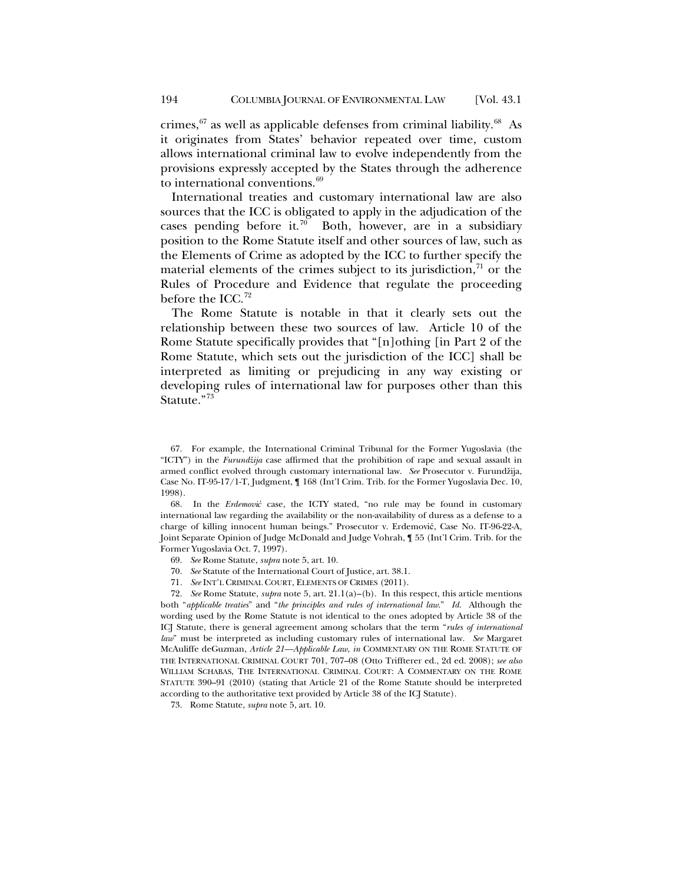crimes,  $67$  as well as applicable defenses from criminal liability.  $68$  As it originates from States' behavior repeated over time, custom allows international criminal law to evolve independently from the provisions expressly accepted by the States through the adherence to international conventions.<sup>[69](#page-13-2)</sup>

International treaties and customary international law are also sources that the ICC is obligated to apply in the adjudication of the cases pending before it.<sup>70</sup> Both, however, are in a subsidiary position to the Rome Statute itself and other sources of law, such as the Elements of Crime as adopted by the ICC to further specify the material elements of the crimes subject to its jurisdiction, $71$  or the Rules of Procedure and Evidence that regulate the proceeding before the ICC.<sup>[72](#page-13-5)</sup>

<span id="page-13-8"></span><span id="page-13-7"></span>The Rome Statute is notable in that it clearly sets out the relationship between these two sources of law. Article 10 of the Rome Statute specifically provides that "[n]othing [in Part 2 of the Rome Statute, which sets out the jurisdiction of the ICC] shall be interpreted as limiting or prejudicing in any way existing or developing rules of international law for purposes other than this Statute."<sup>[73](#page-13-6)</sup>

<span id="page-13-1"></span>68. In the *Erdemović* case, the ICTY stated, "no rule may be found in customary international law regarding the availability or the non-availability of duress as a defense to a charge of killing innocent human beings." Prosecutor v. Erdemović, Case No. IT-96-22-A, Joint Separate Opinion of Judge McDonald and Judge Vohrah, ¶ 55 (Int'l Crim. Trib. for the Former Yugoslavia Oct. 7, 1997).

- 69. *See* Rome Statute, *supra* note [5,](#page-2-5) art. 10.
- 70. *See* Statute of the International Court of Justice, art. 38.1.
- 71*. See* INT'L CRIMINAL COURT, ELEMENTS OF CRIMES (2011).

<span id="page-13-5"></span><span id="page-13-4"></span><span id="page-13-3"></span><span id="page-13-2"></span>72. *See* Rome Statute, *supra* not[e 5,](#page-2-5) art. 21.1(a)–(b). In this respect, this article mentions both "*applicable treaties*" and "*the principles and rules of international law*." *Id.* Although the wording used by the Rome Statute is not identical to the ones adopted by Article 38 of the ICJ Statute, there is general agreement among scholars that the term "*rules of international law*" must be interpreted as including customary rules of international law. *See* Margaret McAuliffe deGuzman, *Article 21—Applicable Law*, *in* COMMENTARY ON THE ROME STATUTE OF THE INTERNATIONAL CRIMINAL COURT 701, 707–08 (Otto Triffterer ed., 2d ed. 2008); *see also* WILLIAM SCHABAS, THE INTERNATIONAL CRIMINAL COURT: A COMMENTARY ON THE ROME STATUTE 390–91 (2010) (stating that Article 21 of the Rome Statute should be interpreted according to the authoritative text provided by Article 38 of the ICJ Statute).

<span id="page-13-6"></span>73. Rome Statute, *supra* note 5, art. 10.

<span id="page-13-0"></span><sup>67.</sup> For example, the International Criminal Tribunal for the Former Yugoslavia (the "ICTY") in the *Furundžija* case affirmed that the prohibition of rape and sexual assault in armed conflict evolved through customary international law. *See* Prosecutor v. Furundžija, Case No. IT-95-17/1-T, Judgment, ¶ 168 (Int'l Crim. Trib. for the Former Yugoslavia Dec. 10, 1998).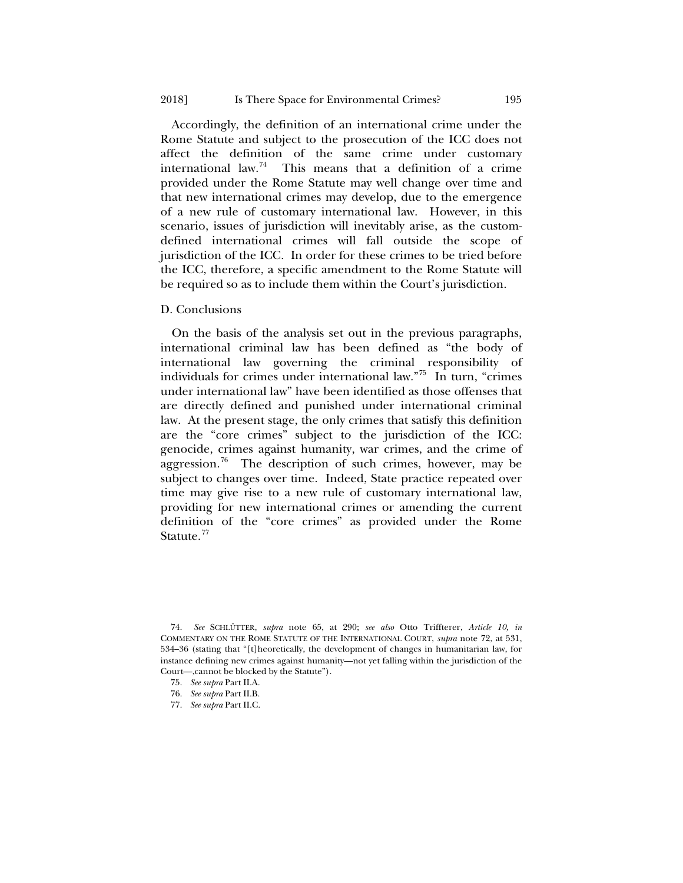Accordingly, the definition of an international crime under the Rome Statute and subject to the prosecution of the ICC does not affect the definition of the same crime under customary international law.<sup>74</sup> This means that a definition of a crime provided under the Rome Statute may well change over time and that new international crimes may develop, due to the emergence of a new rule of customary international law. However, in this scenario, issues of jurisdiction will inevitably arise, as the customdefined international crimes will fall outside the scope of jurisdiction of the ICC. In order for these crimes to be tried before the ICC, therefore, a specific amendment to the Rome Statute will be required so as to include them within the Court's jurisdiction.

#### D. Conclusions

On the basis of the analysis set out in the previous paragraphs, international criminal law has been defined as "the body of international law governing the criminal responsibility of individuals for crimes under international law."[75](#page-14-1) In turn, "crimes under international law" have been identified as those offenses that are directly defined and punished under international criminal law. At the present stage, the only crimes that satisfy this definition are the "core crimes" subject to the jurisdiction of the ICC: genocide, crimes against humanity, war crimes, and the crime of aggression.<sup>[76](#page-14-2)</sup> The description of such crimes, however, may be subject to changes over time. Indeed, State practice repeated over time may give rise to a new rule of customary international law, providing for new international crimes or amending the current definition of the "core crimes" as provided under the Rome Statute.<sup>[77](#page-14-3)</sup>

<span id="page-14-3"></span>77. *See supra* Part II.C.

<span id="page-14-1"></span><span id="page-14-0"></span><sup>74.</sup> *See* SCHLÜTTER, *supra* note [65,](#page-12-0) at 290; *see also* Otto Triffterer, *Article 10, in* COMMENTARY ON THE ROME STATUTE OF THE INTERNATIONAL COURT, *supra* note [72,](#page-13-7) at 531, 534–36 (stating that "[t]heoretically, the development of changes in humanitarian law, for instance defining new crimes against humanity—not yet falling within the jurisdiction of the Court—,cannot be blocked by the Statute").

<sup>75.</sup> *See supra* Part II.A.

<span id="page-14-2"></span><sup>76.</sup> *See supra* Part II.B.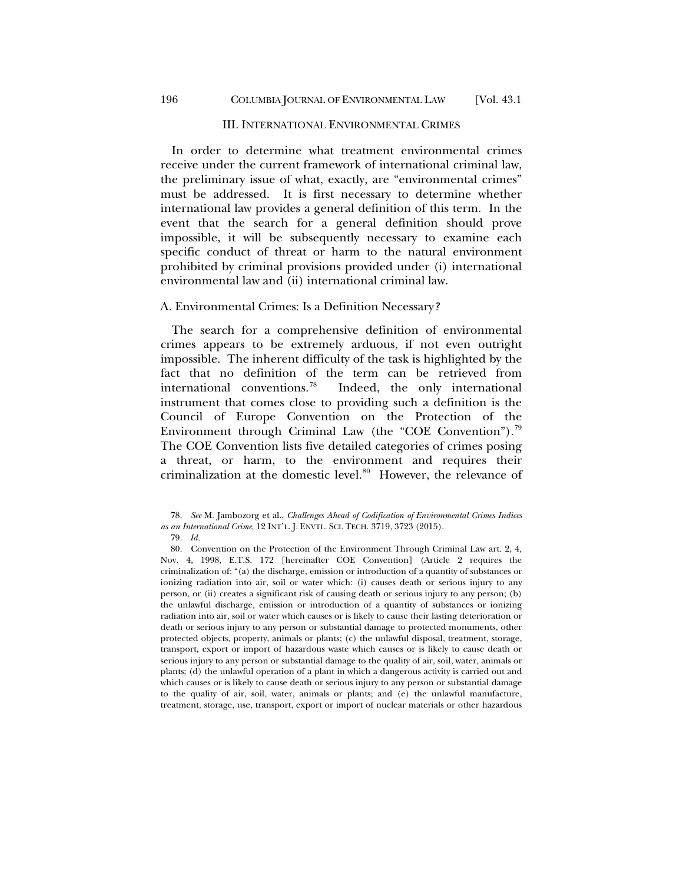#### III. INTERNATIONAL ENVIRONMENTAL CRIMES

In order to determine what treatment environmental crimes receive under the current framework of international criminal law, the preliminary issue of what, exactly, are "environmental crimes" must be addressed. It is first necessary to determine whether international law provides a general definition of this term. In the event that the search for a general definition should prove impossible, it will be subsequently necessary to examine each specific conduct of threat or harm to the natural environment prohibited by criminal provisions provided under (i) international environmental law and (ii) international criminal law.

## A. Environmental Crimes: Is a Definition Necessary*?*

The search for a comprehensive definition of environmental crimes appears to be extremely arduous, if not even outright impossible. The inherent difficulty of the task is highlighted by the fact that no definition of the term can be retrieved from international conventions.[78](#page-15-0) Indeed, the only international instrument that comes close to providing such a definition is the Council of Europe Convention on the Protection of the Environment through Criminal Law (the "COE Convention").<sup>[79](#page-15-1)</sup> The COE Convention lists five detailed categories of crimes posing a threat, or harm, to the environment and requires their criminalization at the domestic level.<sup>80</sup> However, the relevance of

<span id="page-15-0"></span><sup>78.</sup> *See* M. Jambozorg et al., *Challenges Ahead of Codification of Environmental Crimes Indices as an International Crime*, 12 INT'L. J. ENVTL. SCI. TECH. 3719, 3723 (2015).

<span id="page-15-3"></span><sup>79.</sup> *Id.*

<span id="page-15-2"></span><span id="page-15-1"></span><sup>80.</sup> Convention on the Protection of the Environment Through Criminal Law art. 2, 4, Nov. 4, 1998, E.T.S. 172 [hereinafter COE Convention] (Article 2 requires the criminalization of: "(a) the discharge, emission or introduction of a quantity of substances or ionizing radiation into air, soil or water which: (i) causes death or serious injury to any person, or (ii) creates a significant risk of causing death or serious injury to any person; (b) the unlawful discharge, emission or introduction of a quantity of substances or ionizing radiation into air, soil or water which causes or is likely to cause their lasting deterioration or death or serious injury to any person or substantial damage to protected monuments, other protected objects, property, animals or plants; (c) the unlawful disposal, treatment, storage, transport, export or import of hazardous waste which causes or is likely to cause death or serious injury to any person or substantial damage to the quality of air, soil, water, animals or plants; (d) the unlawful operation of a plant in which a dangerous activity is carried out and which causes or is likely to cause death or serious injury to any person or substantial damage to the quality of air, soil, water, animals or plants; and (e) the unlawful manufacture, treatment, storage, use, transport, export or import of nuclear materials or other hazardous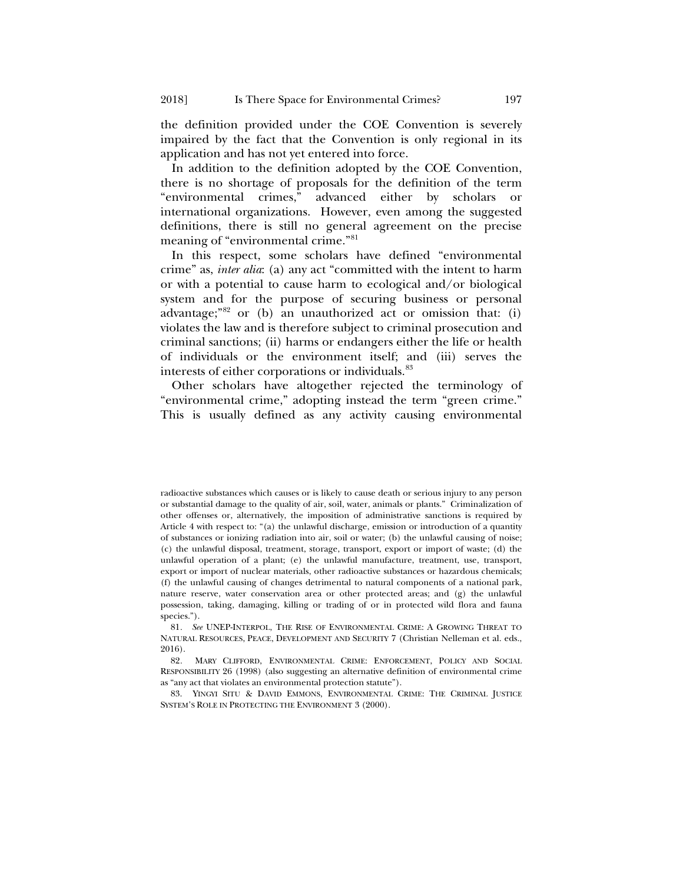the definition provided under the COE Convention is severely impaired by the fact that the Convention is only regional in its application and has not yet entered into force.

In addition to the definition adopted by the COE Convention, there is no shortage of proposals for the definition of the term "environmental crimes," advanced either by scholars or international organizations. However, even among the suggested definitions, there is still no general agreement on the precise meaning of "environmental crime."<sup>[81](#page-16-0)</sup>

<span id="page-16-3"></span>In this respect, some scholars have defined "environmental crime" as, *inter alia*: (a) any act "committed with the intent to harm or with a potential to cause harm to ecological and/or biological system and for the purpose of securing business or personal advantage;"[82](#page-16-1) or (b) an unauthorized act or omission that: (i) violates the law and is therefore subject to criminal prosecution and criminal sanctions; (ii) harms or endangers either the life or health of individuals or the environment itself; and (iii) serves the interests of either corporations or individuals.<sup>[83](#page-16-2)</sup>

Other scholars have altogether rejected the terminology of "environmental crime," adopting instead the term "green crime." This is usually defined as any activity causing environmental

radioactive substances which causes or is likely to cause death or serious injury to any person or substantial damage to the quality of air, soil, water, animals or plants." Criminalization of other offenses or, alternatively, the imposition of administrative sanctions is required by Article 4 with respect to: "(a) the unlawful discharge, emission or introduction of a quantity of substances or ionizing radiation into air, soil or water; (b) the unlawful causing of noise; (c) the unlawful disposal, treatment, storage, transport, export or import of waste; (d) the unlawful operation of a plant; (e) the unlawful manufacture, treatment, use, transport, export or import of nuclear materials, other radioactive substances or hazardous chemicals; (f) the unlawful causing of changes detrimental to natural components of a national park, nature reserve, water conservation area or other protected areas; and (g) the unlawful possession, taking, damaging, killing or trading of or in protected wild flora and fauna species.").

<span id="page-16-0"></span><sup>81</sup>*. See* UNEP-INTERPOL, THE RISE OF ENVIRONMENTAL CRIME: A GROWING THREAT TO NATURAL RESOURCES, PEACE, DEVELOPMENT AND SECURITY 7 (Christian Nelleman et al. eds., 2016).

<span id="page-16-1"></span><sup>82</sup>*.* MARY CLIFFORD, ENVIRONMENTAL CRIME: ENFORCEMENT, POLICY AND SOCIAL RESPONSIBILITY 26 (1998) (also suggesting an alternative definition of environmental crime as "any act that violates an environmental protection statute").

<span id="page-16-2"></span><sup>83.</sup> YINGYI SITU & DAVID EMMONS, ENVIRONMENTAL CRIME: THE CRIMINAL JUSTICE SYSTEM'S ROLE IN PROTECTING THE ENVIRONMENT 3 (2000).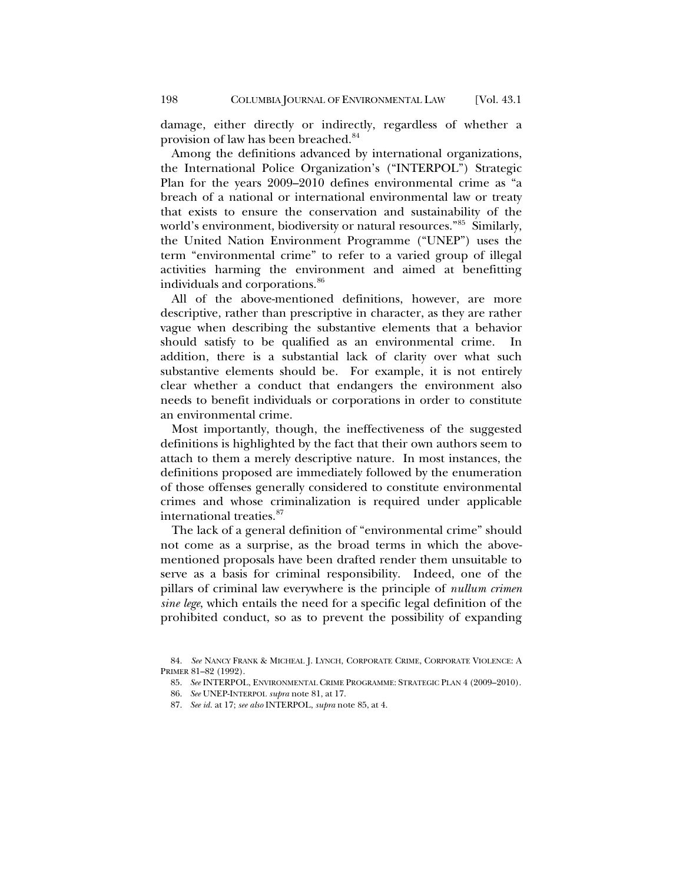damage, either directly or indirectly, regardless of whether a provision of law has been breached.<sup>[84](#page-17-1)</sup>

<span id="page-17-0"></span>Among the definitions advanced by international organizations, the International Police Organization's ("INTERPOL") Strategic Plan for the years 2009–2010 defines environmental crime as "a breach of a national or international environmental law or treaty that exists to ensure the conservation and sustainability of the world's environment, biodiversity or natural resources."[85](#page-17-2) Similarly, the United Nation Environment Programme ("UNEP") uses the term "environmental crime" to refer to a varied group of illegal activities harming the environment and aimed at benefitting individuals and corporations.<sup>86</sup>

All of the above-mentioned definitions, however, are more descriptive, rather than prescriptive in character, as they are rather vague when describing the substantive elements that a behavior should satisfy to be qualified as an environmental crime. In addition, there is a substantial lack of clarity over what such substantive elements should be. For example, it is not entirely clear whether a conduct that endangers the environment also needs to benefit individuals or corporations in order to constitute an environmental crime.

Most importantly, though, the ineffectiveness of the suggested definitions is highlighted by the fact that their own authors seem to attach to them a merely descriptive nature. In most instances, the definitions proposed are immediately followed by the enumeration of those offenses generally considered to constitute environmental crimes and whose criminalization is required under applicable international treaties.[87](#page-17-4)

The lack of a general definition of "environmental crime" should not come as a surprise, as the broad terms in which the abovementioned proposals have been drafted render them unsuitable to serve as a basis for criminal responsibility. Indeed, one of the pillars of criminal law everywhere is the principle of *nullum crimen sine lege*, which entails the need for a specific legal definition of the prohibited conduct, so as to prevent the possibility of expanding

<span id="page-17-4"></span><span id="page-17-3"></span><span id="page-17-2"></span><span id="page-17-1"></span><sup>84.</sup> *See* NANCY FRANK & MICHEAL J. LYNCH, CORPORATE CRIME, CORPORATE VIOLENCE: A PRIMER 81–82 (1992).

<sup>85.</sup> *See* INTERPOL, ENVIRONMENTAL CRIME PROGRAMME: STRATEGIC PLAN 4 (2009–2010).

<sup>86.</sup> *See* UNEP-INTERPOL *supra* not[e 81,](#page-16-3) at 17.

<sup>87.</sup> *See id.* at 17; *see also* INTERPOL, *supra* not[e 85,](#page-17-0) at 4.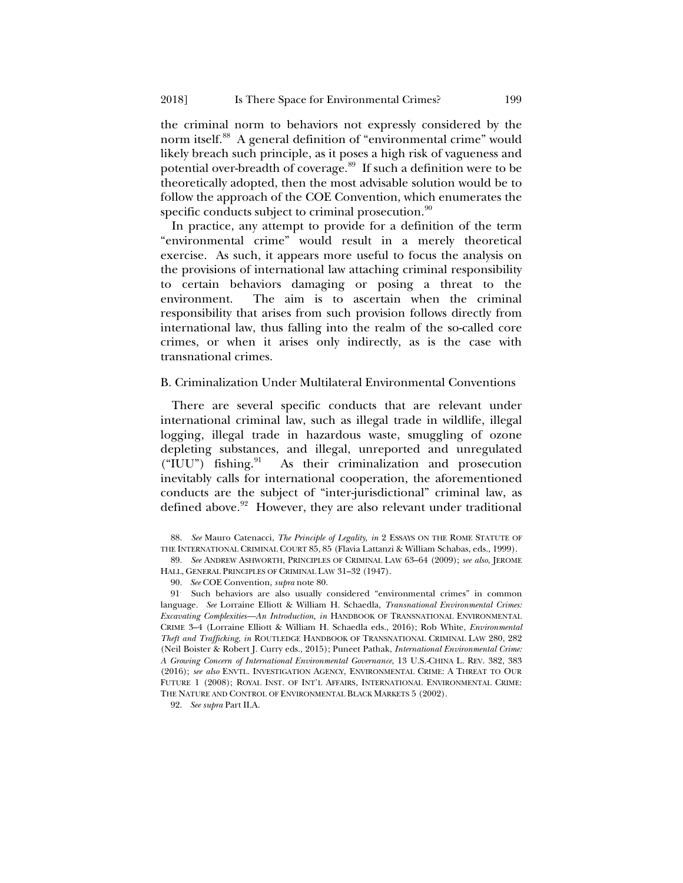the criminal norm to behaviors not expressly considered by the norm itself.<sup>88</sup> A general definition of "environmental crime" would likely breach such principle, as it poses a high risk of vagueness and potential over-breadth of coverage.<sup>89</sup> If such a definition were to be theoretically adopted, then the most advisable solution would be to follow the approach of the COE Convention, which enumerates the specific conducts subject to criminal prosecution.<sup>[90](#page-18-2)</sup>

In practice, any attempt to provide for a definition of the term "environmental crime" would result in a merely theoretical exercise. As such, it appears more useful to focus the analysis on the provisions of international law attaching criminal responsibility to certain behaviors damaging or posing a threat to the environment. The aim is to ascertain when the criminal responsibility that arises from such provision follows directly from international law, thus falling into the realm of the so-called core crimes, or when it arises only indirectly, as is the case with transnational crimes.

#### B. Criminalization Under Multilateral Environmental Conventions

There are several specific conducts that are relevant under international criminal law, such as illegal trade in wildlife, illegal logging, illegal trade in hazardous waste, smuggling of ozone depleting substances, and illegal, unreported and unregulated  $("IUU")$  fishing. $91$  As their criminalization and prosecution inevitably calls for international cooperation, the aforementioned conducts are the subject of "inter-jurisdictional" criminal law, as defined above.<sup>[92](#page-18-4)</sup> However, they are also relevant under traditional

90. *See* COE Convention, *supra* note [80.](#page-15-3)

<span id="page-18-3"></span><span id="page-18-2"></span>91. Such behaviors are also usually considered "environmental crimes" in common language. *See* Lorraine Elliott & William H. Schaedla, *Transnational Environmental Crimes: Excavating Complexities—An Introduction, in* HANDBOOK OF TRANSNATIONAL ENVIRONMENTAL CRIME 3–4 (Lorraine Elliott & William H. Schaedla eds., 2016); Rob White, *Environmental Theft and Trafficking*, *in* ROUTLEDGE HANDBOOK OF TRANSNATIONAL CRIMINAL LAW 280, 282 (Neil Boister & Robert J. Curry eds., 2015); Puneet Pathak, *International Environmental Crime: A Growing Concern of International Environmental Governance*, 13 U.S.-CHINA L. REV. 382, 383 (2016); *see also* ENVTL. INVESTIGATION AGENCY, ENVIRONMENTAL CRIME: A THREAT TO OUR FUTURE 1 (2008); ROYAL INST. OF INT'L AFFAIRS, INTERNATIONAL ENVIRONMENTAL CRIME: THE NATURE AND CONTROL OF ENVIRONMENTAL BLACK MARKETS 5 (2002).

<span id="page-18-4"></span>92. *See supra* Part II.A.

<span id="page-18-0"></span><sup>88.</sup> *See* Mauro Catenacci, *The Principle of Legality, in* 2 ESSAYS ON THE ROME STATUTE OF THE INTERNATIONAL CRIMINAL COURT 85, 85 (Flavia Lattanzi & William Schabas, eds., 1999).

<span id="page-18-1"></span><sup>89.</sup> *See* ANDREW ASHWORTH, PRINCIPLES OF CRIMINAL LAW 63–64 (2009); *see also*, JEROME HALL, GENERAL PRINCIPLES OF CRIMINAL LAW 31–32 (1947).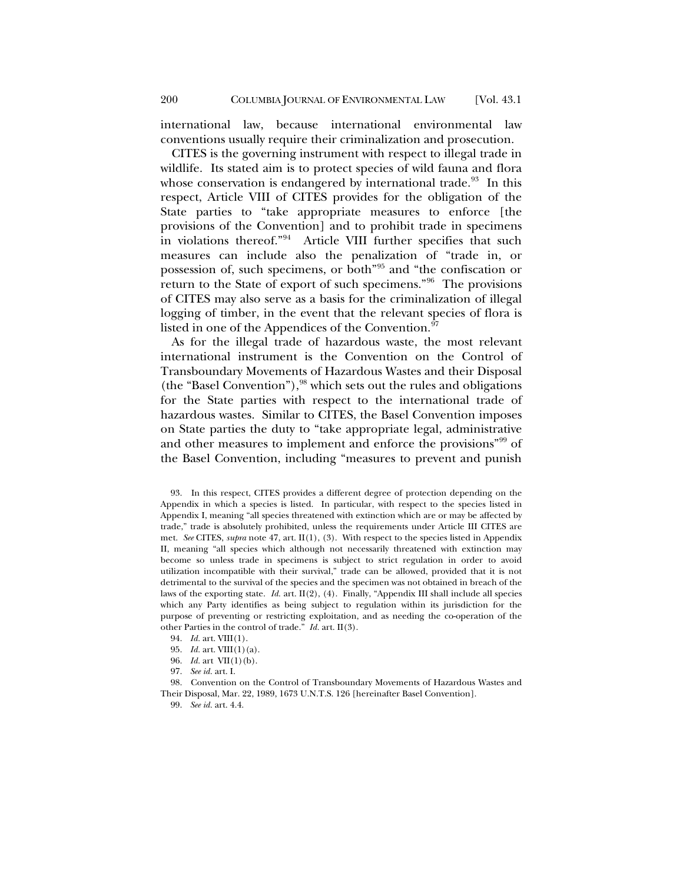international law, because international environmental law conventions usually require their criminalization and prosecution.

CITES is the governing instrument with respect to illegal trade in wildlife. Its stated aim is to protect species of wild fauna and flora whose conservation is endangered by international trade.<sup>[93](#page-19-0)</sup> In this respect, Article VIII of CITES provides for the obligation of the State parties to "take appropriate measures to enforce [the provisions of the Convention] and to prohibit trade in specimens in violations thereof."[94](#page-19-1) Article VIII further specifies that such measures can include also the penalization of "trade in, or possession of, such specimens, or both"[95](#page-19-2) and "the confiscation or return to the State of export of such specimens."[96](#page-19-3) The provisions of CITES may also serve as a basis for the criminalization of illegal logging of timber, in the event that the relevant species of flora is listed in one of the Appendices of the Convention.<sup>[97](#page-19-4)</sup>

<span id="page-19-7"></span>As for the illegal trade of hazardous waste, the most relevant international instrument is the Convention on the Control of Transboundary Movements of Hazardous Wastes and their Disposal (the "Basel Convention"),  $98$  which sets out the rules and obligations for the State parties with respect to the international trade of hazardous wastes. Similar to CITES, the Basel Convention imposes on State parties the duty to "take appropriate legal, administrative and other measures to implement and enforce the provisions"[99](#page-19-6) of the Basel Convention, including "measures to prevent and punish

- 95. *Id.* art. VIII(1)(a).
- 96. *Id.* art VII(1)(b).
- 97. *See id.* art. I.

<span id="page-19-6"></span><span id="page-19-5"></span><span id="page-19-4"></span><span id="page-19-3"></span><span id="page-19-2"></span><span id="page-19-1"></span>98. Convention on the Control of Transboundary Movements of Hazardous Wastes and Their Disposal, Mar. 22, 1989, 1673 U.N.T.S. 126 [hereinafter Basel Convention].

99. *See id.* art. 4.4.

<span id="page-19-0"></span><sup>93.</sup> In this respect, CITES provides a different degree of protection depending on the Appendix in which a species is listed. In particular, with respect to the species listed in Appendix I, meaning "all species threatened with extinction which are or may be affected by trade," trade is absolutely prohibited, unless the requirements under Article III CITES are met. *See* CITES, *supra* note [47,](#page-10-0) art. II(1), (3). With respect to the species listed in Appendix II, meaning "all species which although not necessarily threatened with extinction may become so unless trade in specimens is subject to strict regulation in order to avoid utilization incompatible with their survival," trade can be allowed, provided that it is not detrimental to the survival of the species and the specimen was not obtained in breach of the laws of the exporting state. *Id.* art. II(2), (4). Finally, "Appendix III shall include all species which any Party identifies as being subject to regulation within its jurisdiction for the purpose of preventing or restricting exploitation, and as needing the co-operation of the other Parties in the control of trade." *Id.* art. II(3).

<sup>94.</sup> *Id.* art. VIII(1).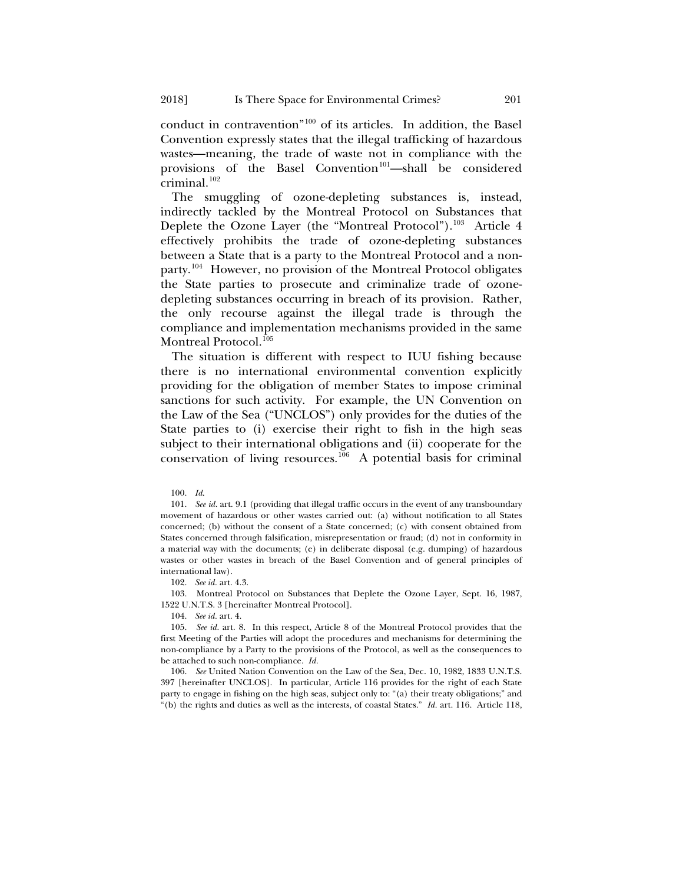conduct in contravention"[100](#page-20-0) of its articles. In addition, the Basel Convention expressly states that the illegal trafficking of hazardous wastes—meaning, the trade of waste not in compliance with the provisions of the Basel Convention<sup>[101](#page-20-1)</sup>—shall be considered criminal. $102$ 

The smuggling of ozone-depleting substances is, instead, indirectly tackled by the Montreal Protocol on Substances that Deplete the Ozone Layer (the "Montreal Protocol").<sup>[103](#page-20-3)</sup> Article 4 effectively prohibits the trade of ozone-depleting substances between a State that is a party to the Montreal Protocol and a nonparty.[104](#page-20-4) However, no provision of the Montreal Protocol obligates the State parties to prosecute and criminalize trade of ozonedepleting substances occurring in breach of its provision. Rather, the only recourse against the illegal trade is through the compliance and implementation mechanisms provided in the same Montreal Protocol.<sup>[105](#page-20-5)</sup>

The situation is different with respect to IUU fishing because there is no international environmental convention explicitly providing for the obligation of member States to impose criminal sanctions for such activity. For example, the UN Convention on the Law of the Sea ("UNCLOS") only provides for the duties of the State parties to (i) exercise their right to fish in the high seas subject to their international obligations and (ii) cooperate for the conservation of living resources.<sup>[106](#page-20-6)</sup> A potential basis for criminal

<span id="page-20-7"></span>100. *Id*.

<span id="page-20-1"></span><span id="page-20-0"></span>101. *See id.* art. 9.1 (providing that illegal traffic occurs in the event of any transboundary movement of hazardous or other wastes carried out: (a) without notification to all States concerned; (b) without the consent of a State concerned; (c) with consent obtained from States concerned through falsification, misrepresentation or fraud; (d) not in conformity in a material way with the documents; (e) in deliberate disposal (e.g. dumping) of hazardous wastes or other wastes in breach of the Basel Convention and of general principles of international law).

102. *See id.* art. 4.3.

<span id="page-20-3"></span><span id="page-20-2"></span>103. Montreal Protocol on Substances that Deplete the Ozone Layer, Sept. 16, 1987, 1522 U.N.T.S. 3 [hereinafter Montreal Protocol].

104. *See id.* art. 4.

<span id="page-20-5"></span><span id="page-20-4"></span>105. *See id.* art. 8. In this respect, Article 8 of the Montreal Protocol provides that the first Meeting of the Parties will adopt the procedures and mechanisms for determining the non-compliance by a Party to the provisions of the Protocol, as well as the consequences to be attached to such non-compliance. *Id.*

<span id="page-20-6"></span>106. *See* United Nation Convention on the Law of the Sea, Dec. 10, 1982, 1833 U.N.T.S. 397 [hereinafter UNCLOS].In particular, Article 116 provides for the right of each State party to engage in fishing on the high seas, subject only to: "(a) their treaty obligations;" and "(b) the rights and duties as well as the interests, of coastal States." *Id.* art. 116. Article 118,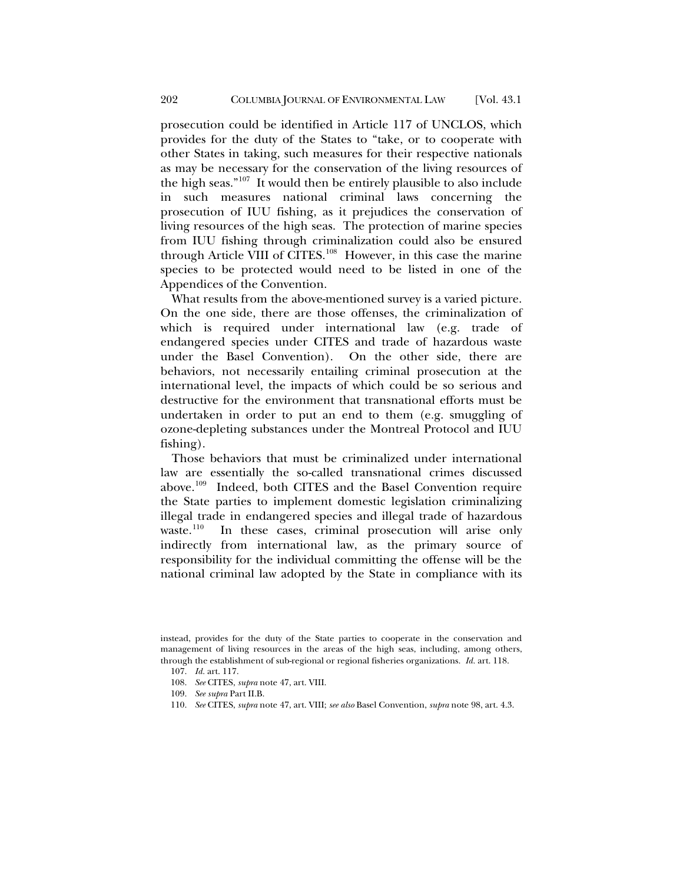prosecution could be identified in Article 117 of UNCLOS, which provides for the duty of the States to "take, or to cooperate with other States in taking, such measures for their respective nationals as may be necessary for the conservation of the living resources of the high seas." $107$  It would then be entirely plausible to also include in such measures national criminal laws concerning the prosecution of IUU fishing, as it prejudices the conservation of living resources of the high seas. The protection of marine species from IUU fishing through criminalization could also be ensured through Article VIII of CITES.[108](#page-21-1) However, in this case the marine species to be protected would need to be listed in one of the Appendices of the Convention.

What results from the above-mentioned survey is a varied picture. On the one side, there are those offenses, the criminalization of which is required under international law (e.g. trade of endangered species under CITES and trade of hazardous waste under the Basel Convention). On the other side, there are behaviors, not necessarily entailing criminal prosecution at the international level, the impacts of which could be so serious and destructive for the environment that transnational efforts must be undertaken in order to put an end to them (e.g. smuggling of ozone-depleting substances under the Montreal Protocol and IUU fishing).

Those behaviors that must be criminalized under international law are essentially the so-called transnational crimes discussed above.[109](#page-21-2) Indeed, both CITES and the Basel Convention require the State parties to implement domestic legislation criminalizing illegal trade in endangered species and illegal trade of hazardous waste.<sup>110</sup> In these cases, criminal prosecution will arise only indirectly from international law, as the primary source of responsibility for the individual committing the offense will be the national criminal law adopted by the State in compliance with its

- 108. *See* CITES, *supra* not[e 47,](#page-10-0) art. VIII.
- 109. *See supra* Part II.B.
- <span id="page-21-3"></span>110. *See* CITES, *supra* not[e 47,](#page-10-0) art. VIII; *see also* Basel Convention, *supra* not[e 98,](#page-19-7) art. 4.3.

<span id="page-21-2"></span><span id="page-21-1"></span><span id="page-21-0"></span>instead, provides for the duty of the State parties to cooperate in the conservation and management of living resources in the areas of the high seas, including, among others, through the establishment of sub-regional or regional fisheries organizations. *Id.* art. 118.

<sup>107.</sup> *Id.* art. 117.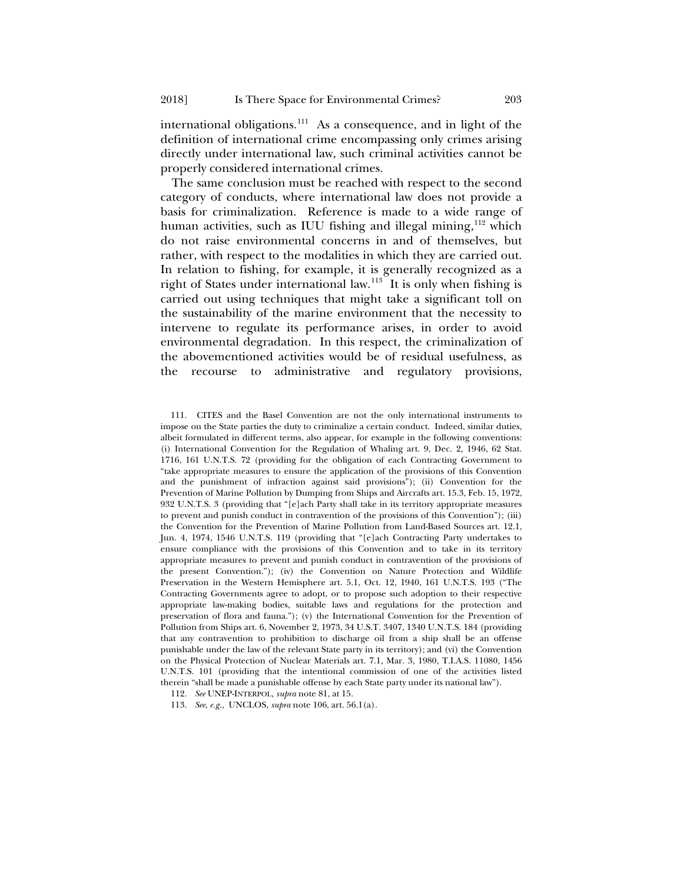<span id="page-22-3"></span>international obligations.<sup>111</sup> As a consequence, and in light of the definition of international crime encompassing only crimes arising directly under international law, such criminal activities cannot be properly considered international crimes.

The same conclusion must be reached with respect to the second category of conducts, where international law does not provide a basis for criminalization. Reference is made to a wide range of human activities, such as IUU fishing and illegal mining,<sup>[112](#page-22-1)</sup> which do not raise environmental concerns in and of themselves, but rather, with respect to the modalities in which they are carried out. In relation to fishing, for example, it is generally recognized as a right of States under international law.<sup>113</sup> It is only when fishing is carried out using techniques that might take a significant toll on the sustainability of the marine environment that the necessity to intervene to regulate its performance arises, in order to avoid environmental degradation. In this respect, the criminalization of the abovementioned activities would be of residual usefulness, as the recourse to administrative and regulatory provisions,

<span id="page-22-0"></span><sup>111.</sup> CITES and the Basel Convention are not the only international instruments to impose on the State parties the duty to criminalize a certain conduct. Indeed, similar duties, albeit formulated in different terms, also appear, for example in the following conventions: (i) International Convention for the Regulation of Whaling art. 9, Dec. 2, 1946, 62 Stat. 1716, 161 U.N.T.S. 72 (providing for the obligation of each Contracting Government to "take appropriate measures to ensure the application of the provisions of this Convention and the punishment of infraction against said provisions"); (ii) Convention for the Prevention of Marine Pollution by Dumping from Ships and Aircrafts art. 15.3, Feb. 15, 1972, 932 U.N.T.S. 3 (providing that "[e]ach Party shall take in its territory appropriate measures to prevent and punish conduct in contravention of the provisions of this Convention"); (iii) the Convention for the Prevention of Marine Pollution from Land-Based Sources art. 12.1, Jun. 4, 1974, 1546 U.N.T.S. 119 (providing that "[e]ach Contracting Party undertakes to ensure compliance with the provisions of this Convention and to take in its territory appropriate measures to prevent and punish conduct in contravention of the provisions of the present Convention."); (iv) the Convention on Nature Protection and Wildlife Preservation in the Western Hemisphere art. 5.1, Oct. 12, 1940, 161 U.N.T.S. 193 ("The Contracting Governments agree to adopt, or to propose such adoption to their respective appropriate law-making bodies, suitable laws and regulations for the protection and preservation of flora and fauna."); (v) the International Convention for the Prevention of Pollution from Ships art. 6, November 2, 1973, 34 U.S.T. 3407, 1340 U.N.T.S. 184 (providing that any contravention to prohibition to discharge oil from a ship shall be an offense punishable under the law of the relevant State party in its territory); and (vi) the Convention on the Physical Protection of Nuclear Materials art. 7.1, Mar. 3, 1980, T.I.A.S. 11080, 1456 U.N.T.S. 101 (providing that the intentional commission of one of the activities listed therein "shall be made a punishable offense by each State party under its national law").

<span id="page-22-1"></span><sup>112.</sup> *See* UNEP-INTERPOL, *supra* not[e 81,](#page-16-3) at 15.

<span id="page-22-2"></span><sup>113.</sup> *See*, *e.g.*, UNCLOS, *supra* not[e 106,](#page-20-7) art. 56.1(a).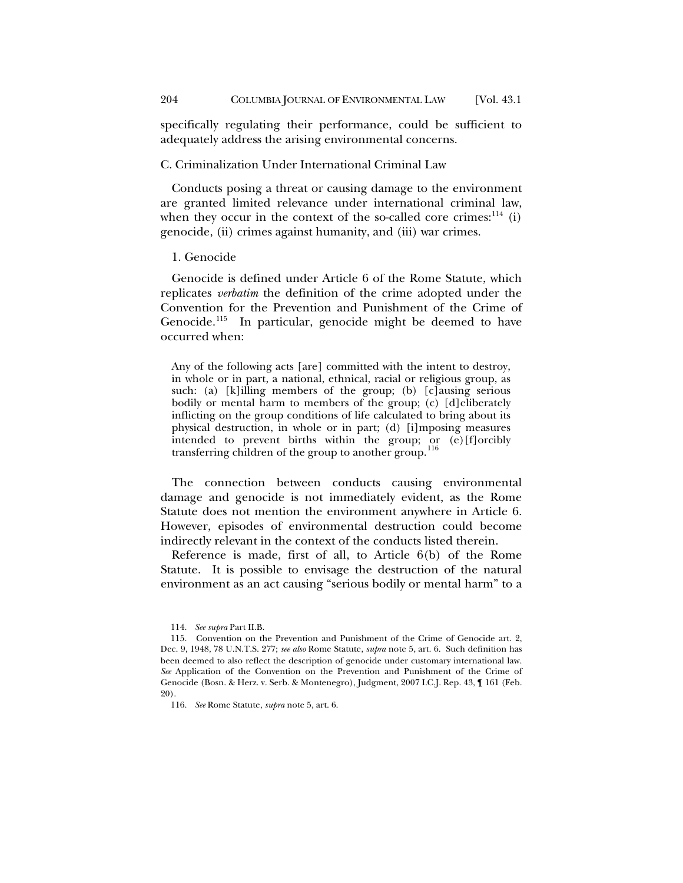specifically regulating their performance, could be sufficient to adequately address the arising environmental concerns.

## C. Criminalization Under International Criminal Law

Conducts posing a threat or causing damage to the environment are granted limited relevance under international criminal law, when they occur in the context of the so-called core crimes: $^{114}$  $^{114}$  $^{114}$  (i) genocide, (ii) crimes against humanity, and (iii) war crimes.

#### 1. Genocide

Genocide is defined under Article 6 of the Rome Statute, which replicates *verbatim* the definition of the crime adopted under the Convention for the Prevention and Punishment of the Crime of Genocide.<sup>115</sup> In particular, genocide might be deemed to have occurred when:

Any of the following acts [are] committed with the intent to destroy, in whole or in part, a national, ethnical, racial or religious group, as such: (a) [k]illing members of the group; (b) [c]ausing serious bodily or mental harm to members of the group; (c) [d]eliberately inflicting on the group conditions of life calculated to bring about its physical destruction, in whole or in part; (d) [i]mposing measures intended to prevent births within the group; or (e)[f]orcibly transferring children of the group to another group.<sup>[116](#page-23-2)</sup>

The connection between conducts causing environmental damage and genocide is not immediately evident, as the Rome Statute does not mention the environment anywhere in Article 6. However, episodes of environmental destruction could become indirectly relevant in the context of the conducts listed therein.

Reference is made, first of all, to Article 6(b) of the Rome Statute. It is possible to envisage the destruction of the natural environment as an act causing "serious bodily or mental harm" to a

<sup>114.</sup> *See supra* Part II.B.

<span id="page-23-1"></span><span id="page-23-0"></span><sup>115.</sup> Convention on the Prevention and Punishment of the Crime of Genocide art. 2, Dec. 9, 1948, 78 U.N.T.S. 277; *see also* Rome Statute, *supra* not[e 5,](#page-2-5) art. 6. Such definition has been deemed to also reflect the description of genocide under customary international law. *See* Application of the Convention on the Prevention and Punishment of the Crime of Genocide (Bosn. & Herz. v. Serb. & Montenegro), Judgment, 2007 I.C.J. Rep. 43, ¶ 161 (Feb. 20).

<span id="page-23-2"></span><sup>116.</sup> *See* Rome Statute, *supra* not[e 5,](#page-2-5) art. 6.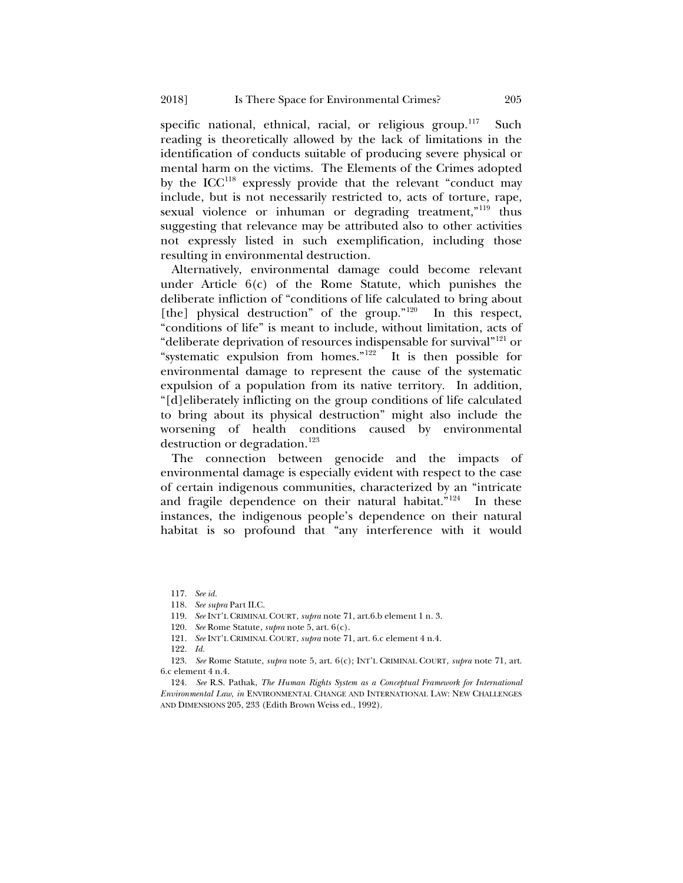specific national, ethnical, racial, or religious group.<sup>117</sup> Such reading is theoretically allowed by the lack of limitations in the identification of conducts suitable of producing severe physical or mental harm on the victims. The Elements of the Crimes adopted by the  $ICC<sup>118</sup>$  expressly provide that the relevant "conduct may include, but is not necessarily restricted to, acts of torture, rape, sexual violence or inhuman or degrading treatment,"<sup>[119](#page-24-2)</sup> thus suggesting that relevance may be attributed also to other activities not expressly listed in such exemplification, including those resulting in environmental destruction.

Alternatively, environmental damage could become relevant under Article  $6(c)$  of the Rome Statute, which punishes the deliberate infliction of "conditions of life calculated to bring about [the] physical destruction" of the group."<sup>[120](#page-24-3)</sup> In this respect, "conditions of life" is meant to include, without limitation, acts of "deliberate deprivation of resources indispensable for survival"<sup>121</sup> or "systematic expulsion from homes." $122$  It is then possible for environmental damage to represent the cause of the systematic expulsion of a population from its native territory. In addition, "[d]eliberately inflicting on the group conditions of life calculated to bring about its physical destruction" might also include the worsening of health conditions caused by environmental destruction or degradation.<sup>[123](#page-24-6)</sup>

The connection between genocide and the impacts of environmental damage is especially evident with respect to the case of certain indigenous communities, characterized by an "intricate and fragile dependence on their natural habitat."<sup>124</sup> In these instances, the indigenous people's dependence on their natural habitat is so profound that "any interference with it would

<span id="page-24-0"></span><sup>117.</sup> *See id.* 

<sup>118.</sup> *See supra* Part II.C.

<sup>119.</sup> *See* INT'L CRIMINAL COURT, *supra* not[e 71,](#page-13-8) art.6.b element 1 n. 3.

<sup>120.</sup> *See* Rome Statute, *supra* not[e 5,](#page-2-5) art. 6(c).

<sup>121.</sup> *See* INT'L CRIMINAL COURT, *supra* not[e 71,](#page-13-8) art. 6.c element 4 n.4.

<sup>122.</sup> *Id.*

<span id="page-24-6"></span><span id="page-24-5"></span><span id="page-24-4"></span><span id="page-24-3"></span><span id="page-24-2"></span><span id="page-24-1"></span><sup>123.</sup> *See* Rome Statute, *supra* not[e 5,](#page-2-5) art. 6(c); INT'L CRIMINAL COURT, *supra* not[e 71,](#page-13-8) art. 6.c element 4 n.4.

<span id="page-24-7"></span><sup>124.</sup> *See* R.S. Pathak, *The Human Rights System as a Conceptual Framework for International Environmental Law*, *in* ENVIRONMENTAL CHANGE AND INTERNATIONAL LAW: NEW CHALLENGES AND DIMENSIONS 205, 233 (Edith Brown Weiss ed., 1992).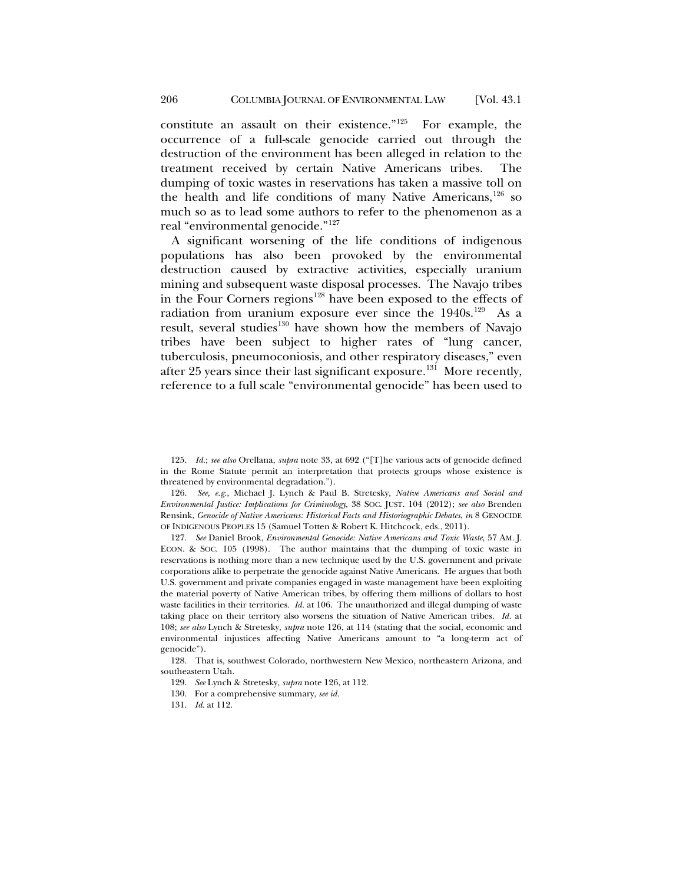constitute an assault on their existence." $125$  For example, the occurrence of a full-scale genocide carried out through the destruction of the environment has been alleged in relation to the treatment received by certain Native Americans tribes. The dumping of toxic wastes in reservations has taken a massive toll on the health and life conditions of many Native Americans,<sup>[126](#page-25-2)</sup> so much so as to lead some authors to refer to the phenomenon as a real "environmental genocide."[127](#page-25-3)

<span id="page-25-0"></span>A significant worsening of the life conditions of indigenous populations has also been provoked by the environmental destruction caused by extractive activities, especially uranium mining and subsequent waste disposal processes. The Navajo tribes in the Four Corners regions<sup>[128](#page-25-4)</sup> have been exposed to the effects of radiation from uranium exposure ever since the 1940s.<sup>[129](#page-25-5)</sup> As a result, several studies<sup>[130](#page-25-6)</sup> have shown how the members of Navajo tribes have been subject to higher rates of "lung cancer, tuberculosis, pneumoconiosis, and other respiratory diseases," even after 25 years since their last significant exposure.<sup>[131](#page-25-7)</sup> More recently, reference to a full scale "environmental genocide" has been used to

<span id="page-25-2"></span>126. *See, e.g.*, Michael J. Lynch & Paul B. Stretesky, *Native Americans and Social and Environmental Justice: Implications for Criminology*, 38 SOC. JUST. 104 (2012); *see also* Brenden Rensink, *Genocide of Native Americans: Historical Facts and Historiographic Debates*, *in* 8 GENOCIDE OF INDIGENOUS PEOPLES 15 (Samuel Totten & Robert K. Hitchcock, eds., 2011).

<span id="page-25-3"></span>127. *See* Daniel Brook, *Environmental Genocide: Native Americans and Toxic Waste*, 57 AM. J. ECON. & SOC. 105 (1998). The author maintains that the dumping of toxic waste in reservations is nothing more than a new technique used by the U.S. government and private corporations alike to perpetrate the genocide against Native Americans. He argues that both U.S. government and private companies engaged in waste management have been exploiting the material poverty of Native American tribes, by offering them millions of dollars to host waste facilities in their territories. *Id.* at 106. The unauthorized and illegal dumping of waste taking place on their territory also worsens the situation of Native American tribes. *Id.* at 108; *see also* Lynch & Stretesky, *supra* note [126,](#page-25-0) at 114 (stating that the social, economic and environmental injustices affecting Native Americans amount to "a long-term act of genocide").

<span id="page-25-7"></span><span id="page-25-6"></span><span id="page-25-5"></span><span id="page-25-4"></span>128. That is, southwest Colorado, northwestern New Mexico, northeastern Arizona, and southeastern Utah.

<span id="page-25-1"></span><sup>125.</sup> *Id.*; *see also* Orellana, *supra* not[e 33,](#page-8-8) at 692 ("[T]he various acts of genocide defined in the Rome Statute permit an interpretation that protects groups whose existence is threatened by environmental degradation.").

<sup>129.</sup> *See* Lynch & Stretesky, *supra* not[e 126,](#page-25-0) at 112.

<sup>130.</sup> For a comprehensive summary, *see id.* 

<sup>131.</sup> *Id*. at 112.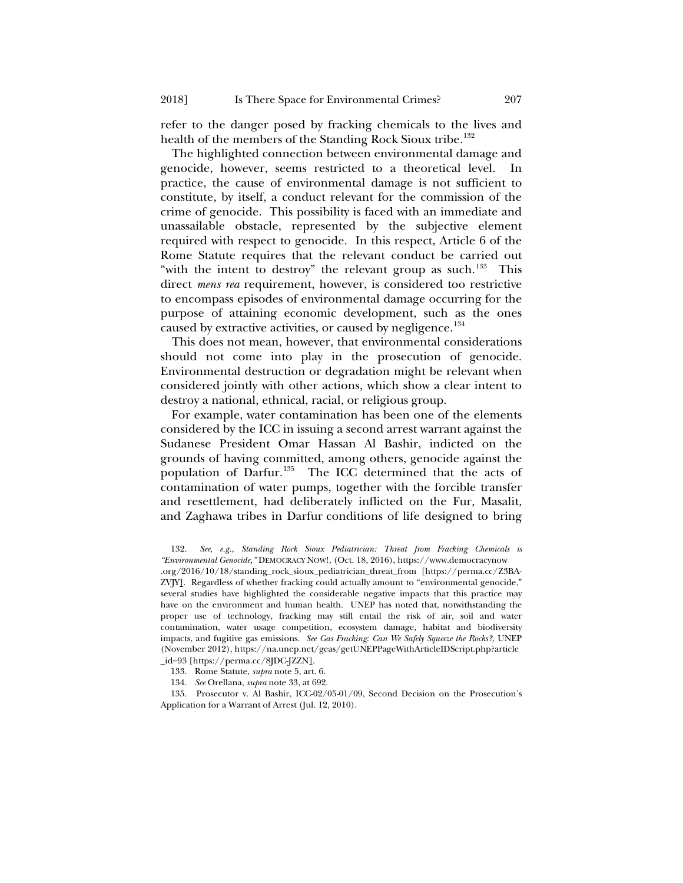refer to the danger posed by fracking chemicals to the lives and health of the members of the Standing Rock Sioux tribe.<sup>[132](#page-26-0)</sup>

The highlighted connection between environmental damage and genocide, however, seems restricted to a theoretical level. In practice, the cause of environmental damage is not sufficient to constitute, by itself, a conduct relevant for the commission of the crime of genocide. This possibility is faced with an immediate and unassailable obstacle, represented by the subjective element required with respect to genocide. In this respect, Article 6 of the Rome Statute requires that the relevant conduct be carried out "with the intent to destroy" the relevant group as such.<sup>133</sup> This direct *mens rea* requirement, however, is considered too restrictive to encompass episodes of environmental damage occurring for the purpose of attaining economic development, such as the ones caused by extractive activities, or caused by negligence.<sup>[134](#page-26-2)</sup>

This does not mean, however, that environmental considerations should not come into play in the prosecution of genocide. Environmental destruction or degradation might be relevant when considered jointly with other actions, which show a clear intent to destroy a national, ethnical, racial, or religious group.

For example, water contamination has been one of the elements considered by the ICC in issuing a second arrest warrant against the Sudanese President Omar Hassan Al Bashir, indicted on the grounds of having committed, among others, genocide against the population of Darfur.<sup>[135](#page-26-3)</sup> The ICC determined that the acts of contamination of water pumps, together with the forcible transfer and resettlement, had deliberately inflicted on the Fur, Masalit, and Zaghawa tribes in Darfur conditions of life designed to bring

<span id="page-26-0"></span>132. *See*, *e.g.*, *Standing Rock Sioux Pediatrician: Threat from Fracking Chemicals is "Environmental Genocide,"* DEMOCRACY NOW!, (Oct. 18, 2016), https://www.democracynow .org/2016/10/18/standing\_rock\_sioux\_pediatrician\_threat\_from [https://perma.cc/Z3BA-ZVJY]. Regardless of whether fracking could actually amount to "environmental genocide," several studies have highlighted the considerable negative impacts that this practice may have on the environment and human health. UNEP has noted that, notwithstanding the proper use of technology, fracking may still entail the risk of air, soil and water contamination, water usage competition, ecosystem damage, habitat and biodiversity impacts, and fugitive gas emissions. *See Gas Fracking: Can We Safely Squeeze the Rocks?,* UNEP (November 2012), https://na.unep.net/geas/getUNEPPageWithArticleIDScript.php?article \_id=93 [https://perma.cc/8JDC-JZZN].

<span id="page-26-3"></span><span id="page-26-2"></span><span id="page-26-1"></span>135. Prosecutor v. Al Bashir, ICC-02/05-01/09, Second Decision on the Prosecution's Application for a Warrant of Arrest (Jul. 12, 2010).

<sup>133.</sup> Rome Statute, *supra* not[e 5,](#page-2-5) art. 6.

<sup>134.</sup> *See* Orellana, *supra* not[e 33,](#page-8-8) at 692.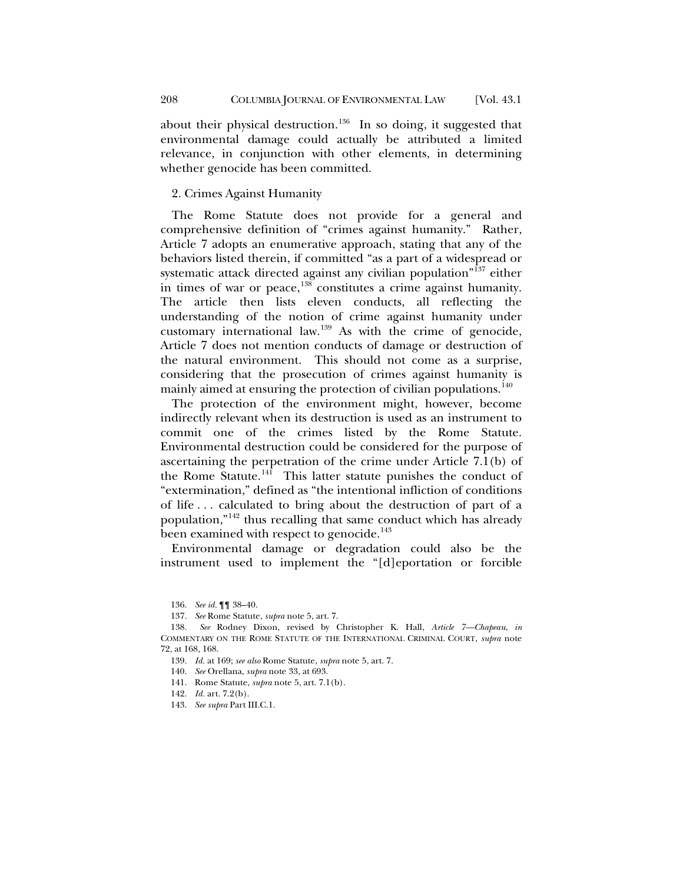about their physical destruction.<sup>136</sup> In so doing, it suggested that environmental damage could actually be attributed a limited relevance, in conjunction with other elements, in determining whether genocide has been committed.

#### 2. Crimes Against Humanity

The Rome Statute does not provide for a general and comprehensive definition of "crimes against humanity." Rather, Article 7 adopts an enumerative approach, stating that any of the behaviors listed therein, if committed "as a part of a widespread or systematic attack directed against any civilian population"<sup>[137](#page-27-1)</sup> either in times of war or peace,[138](#page-27-2) constitutes a crime against humanity. The article then lists eleven conducts, all reflecting the understanding of the notion of crime against humanity under customary international law[.139](#page-27-3) As with the crime of genocide, Article 7 does not mention conducts of damage or destruction of the natural environment. This should not come as a surprise, considering that the prosecution of crimes against humanity is mainly aimed at ensuring the protection of civilian populations.<sup>[140](#page-27-4)</sup>

The protection of the environment might, however, become indirectly relevant when its destruction is used as an instrument to commit one of the crimes listed by the Rome Statute. Environmental destruction could be considered for the purpose of ascertaining the perpetration of the crime under Article 7.1(b) of the Rome Statute.<sup>141</sup> This latter statute punishes the conduct of "extermination," defined as "the intentional infliction of conditions of life . . . calculated to bring about the destruction of part of a population,"[142](#page-27-6) thus recalling that same conduct which has already been examined with respect to genocide.<sup>[143](#page-27-7)</sup>

Environmental damage or degradation could also be the instrument used to implement the "[d]eportation or forcible

141. Rome Statute, *supra* not[e 5,](#page-2-5) art. 7.1(b).

<sup>136.</sup> *See id.* ¶¶ 38–40.

<sup>137.</sup> *See* Rome Statute, *supra* not[e 5,](#page-2-5) art. 7.

<span id="page-27-5"></span><span id="page-27-4"></span><span id="page-27-3"></span><span id="page-27-2"></span><span id="page-27-1"></span><span id="page-27-0"></span><sup>138.</sup> *See* Rodney Dixon, revised by Christopher K. Hall, *Article 7—Chapeau*, *in* COMMENTARY ON THE ROME STATUTE OF THE INTERNATIONAL CRIMINAL COURT, *supra* note [72,](#page-13-7) at 168, 168.

<sup>139.</sup> *Id.* at 169; *see also* Rome Statute, *supra* not[e 5,](#page-2-5) art. 7.

<sup>140.</sup> *See* Orellana, *supra* not[e 33,](#page-8-8) at 693.

<span id="page-27-6"></span><sup>142.</sup> *Id.* art. 7.2(b).

<span id="page-27-7"></span><sup>143.</sup> *See supra* Part III.C.1.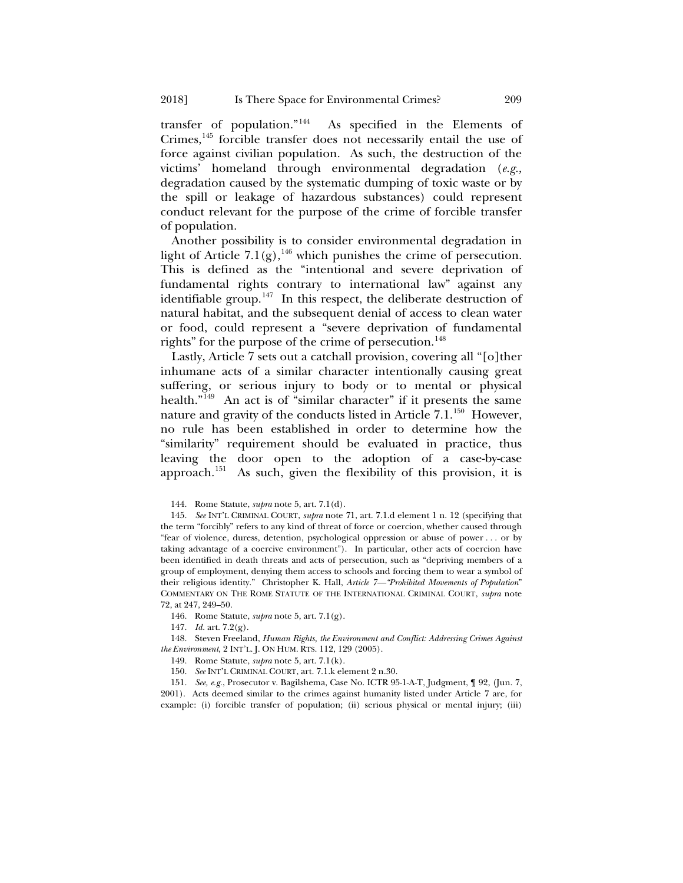transfer of population."[144](#page-28-0) As specified in the Elements of Crimes,<sup>[145](#page-28-1)</sup> forcible transfer does not necessarily entail the use of force against civilian population. As such, the destruction of the victims' homeland through environmental degradation (*e.g.,*  degradation caused by the systematic dumping of toxic waste or by the spill or leakage of hazardous substances) could represent conduct relevant for the purpose of the crime of forcible transfer of population.

Another possibility is to consider environmental degradation in light of Article 7.1(g),<sup>[146](#page-28-2)</sup> which punishes the crime of persecution. This is defined as the "intentional and severe deprivation of fundamental rights contrary to international law" against any identifiable group.<sup>[147](#page-28-3)</sup> In this respect, the deliberate destruction of natural habitat, and the subsequent denial of access to clean water or food, could represent a "severe deprivation of fundamental rights" for the purpose of the crime of persecution.<sup>[148](#page-28-4)</sup>

<span id="page-28-8"></span>Lastly, Article 7 sets out a catchall provision, covering all "[o]ther inhumane acts of a similar character intentionally causing great suffering, or serious injury to body or to mental or physical health."<sup>[149](#page-28-5)</sup> An act is of "similar character" if it presents the same nature and gravity of the conducts listed in Article  $7.1^{150}$  However, no rule has been established in order to determine how the "similarity" requirement should be evaluated in practice, thus leaving the door open to the adoption of a case-by-case approach.[151](#page-28-7) As such, given the flexibility of this provision, it is

<span id="page-28-7"></span><span id="page-28-6"></span>151. *See, e.g.*, Prosecutor v. Bagilshema, Case No. ICTR 95-1-A-T, Judgment, ¶ 92, (Jun. 7, 2001). Acts deemed similar to the crimes against humanity listed under Article 7 are, for example: (i) forcible transfer of population; (ii) serious physical or mental injury; (iii)

<sup>144.</sup> Rome Statute, *supra* not[e 5,](#page-2-5) art. 7.1(d).

<span id="page-28-1"></span><span id="page-28-0"></span><sup>145.</sup> *See* INT'L CRIMINAL COURT, *supra* note [71,](#page-13-8) art. 7.1.d element 1 n. 12 (specifying that the term "forcibly" refers to any kind of threat of force or coercion, whether caused through "fear of violence, duress, detention, psychological oppression or abuse of power . . . or by taking advantage of a coercive environment"). In particular, other acts of coercion have been identified in death threats and acts of persecution, such as "depriving members of a group of employment, denying them access to schools and forcing them to wear a symbol of their religious identity." Christopher K. Hall, *Article 7—"Prohibited Movements of Population*" COMMENTARY ON THE ROME STATUTE OF THE INTERNATIONAL CRIMINAL COURT, *supra* note [72,](#page-13-7) at 247, 249–50.

<sup>146.</sup> Rome Statute, *supra* not[e 5,](#page-2-5) art. 7.1(g).

<sup>147.</sup> *Id.* art. 7.2(g).

<span id="page-28-5"></span><span id="page-28-4"></span><span id="page-28-3"></span><span id="page-28-2"></span><sup>148.</sup> Steven Freeland, *Human Rights, the Environment and Conflict: Addressing Crimes Against the Environment*, 2 INT'L. J. ON HUM. RTS. 112, 129 (2005).

<sup>149.</sup> Rome Statute, *supra* not[e 5,](#page-2-5) art. 7.1(k).

<sup>150.</sup> *See* INT'L CRIMINAL COURT, art. 7.1.k element 2 n.30.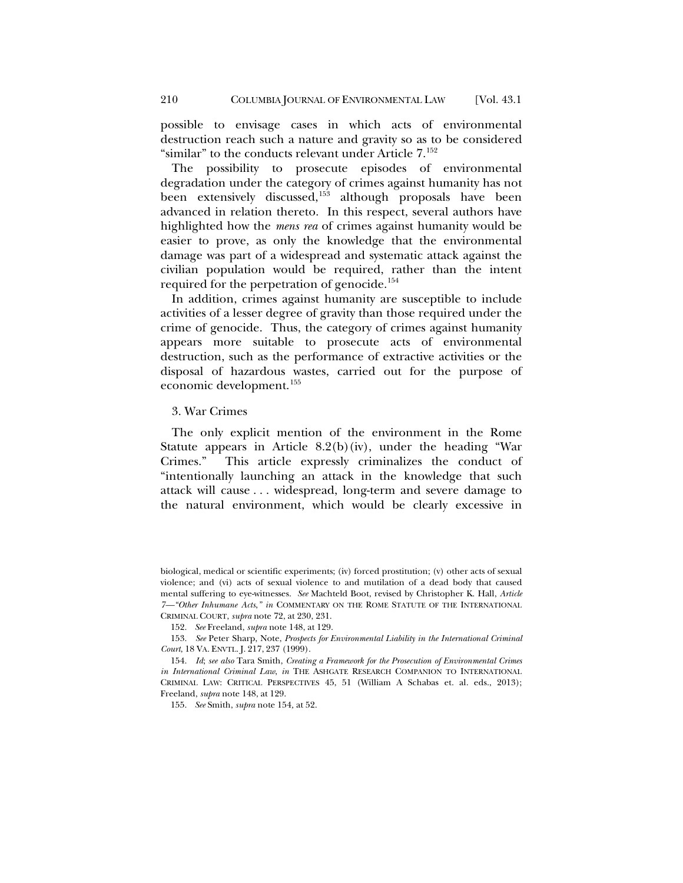possible to envisage cases in which acts of environmental destruction reach such a nature and gravity so as to be considered "similar" to the conducts relevant under Article  $7.^{152}$  $7.^{152}$  $7.^{152}$ 

<span id="page-29-5"></span>The possibility to prosecute episodes of environmental degradation under the category of crimes against humanity has not been extensively discussed,<sup>[153](#page-29-2)</sup> although proposals have been advanced in relation thereto. In this respect, several authors have highlighted how the *mens rea* of crimes against humanity would be easier to prove, as only the knowledge that the environmental damage was part of a widespread and systematic attack against the civilian population would be required, rather than the intent required for the perpetration of genocide.<sup>[154](#page-29-3)</sup>

<span id="page-29-0"></span>In addition, crimes against humanity are susceptible to include activities of a lesser degree of gravity than those required under the crime of genocide. Thus, the category of crimes against humanity appears more suitable to prosecute acts of environmental destruction, such as the performance of extractive activities or the disposal of hazardous wastes, carried out for the purpose of economic development.[155](#page-29-4)

#### 3. War Crimes

The only explicit mention of the environment in the Rome Statute appears in Article 8.2(b)(iv), under the heading "War Crimes." This article expressly criminalizes the conduct of "intentionally launching an attack in the knowledge that such attack will cause . . . widespread, long-term and severe damage to the natural environment, which would be clearly excessive in

155. *See* Smith, *supra* not[e 154](#page-29-0)*,* at 52.

biological, medical or scientific experiments; (iv) forced prostitution; (v) other acts of sexual violence; and (vi) acts of sexual violence to and mutilation of a dead body that caused mental suffering to eye-witnesses.*See* Machteld Boot, revised by Christopher K. Hall, *Article 7—"Other Inhumane Acts*,*" in* COMMENTARY ON THE ROME STATUTE OF THE INTERNATIONAL CRIMINAL COURT, *supra* note [72,](#page-13-7) at 230, 231.

<sup>152.</sup> *See* Freeland, *supra* not[e 148,](#page-28-8) at 129.

<span id="page-29-2"></span><span id="page-29-1"></span><sup>153.</sup> *See* Peter Sharp, Note, *Prospects for Environmental Liability in the International Criminal Court*, 18 VA. ENVTL. J. 217, 237 (1999).

<span id="page-29-4"></span><span id="page-29-3"></span><sup>154.</sup> *Id*; *see also* Tara Smith, *Creating a Framework for the Prosecution of Environmental Crimes in International Criminal Law*, *in* THE ASHGATE RESEARCH COMPANION TO INTERNATIONAL CRIMINAL LAW: CRITICAL PERSPECTIVES 45, 51 (William A Schabas et. al. eds., 2013); Freeland, *supra* note [148,](#page-28-8) at 129.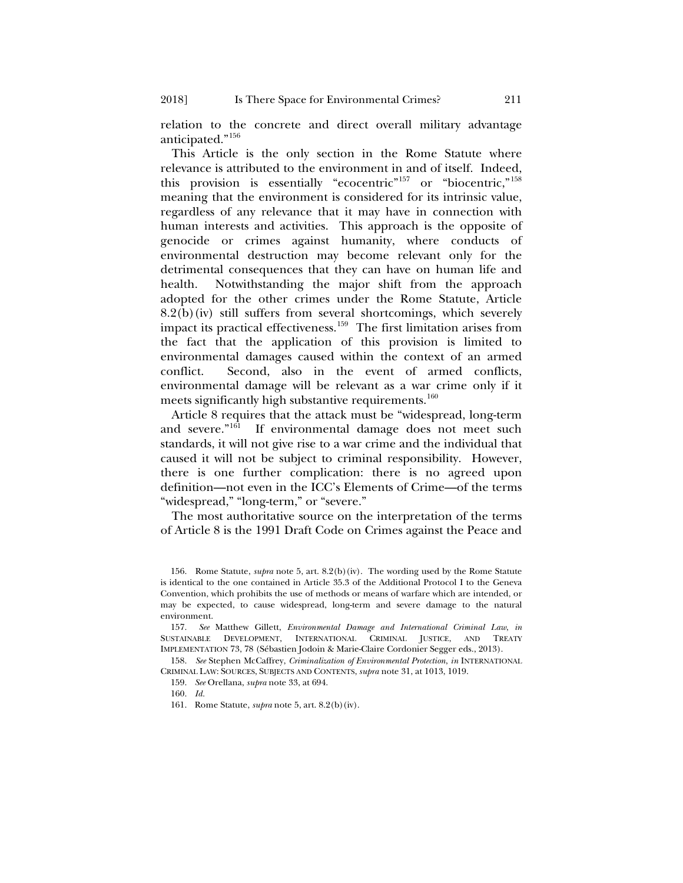2018] Is There Space for Environmental Crimes? 211

relation to the concrete and direct overall military advantage anticipated."[156](#page-30-0)

<span id="page-30-6"></span>This Article is the only section in the Rome Statute where relevance is attributed to the environment in and of itself. Indeed, this provision is essentially "ecocentric"<sup>[157](#page-30-1)</sup> or "biocentric,"<sup>[158](#page-30-2)</sup> meaning that the environment is considered for its intrinsic value, regardless of any relevance that it may have in connection with human interests and activities. This approach is the opposite of genocide or crimes against humanity, where conducts of environmental destruction may become relevant only for the detrimental consequences that they can have on human life and health. Notwithstanding the major shift from the approach adopted for the other crimes under the Rome Statute, Article 8.2(b)(iv) still suffers from several shortcomings, which severely impact its practical effectiveness.<sup>[159](#page-30-3)</sup> The first limitation arises from the fact that the application of this provision is limited to environmental damages caused within the context of an armed conflict. Second, also in the event of armed conflicts, environmental damage will be relevant as a war crime only if it meets significantly high substantive requirements.<sup>[160](#page-30-4)</sup>

Article 8 requires that the attack must be "widespread, long-term and severe."[161](#page-30-5) If environmental damage does not meet such standards, it will not give rise to a war crime and the individual that caused it will not be subject to criminal responsibility. However, there is one further complication: there is no agreed upon definition—not even in the ICC's Elements of Crime—of the terms "widespread," "long-term," or "severe."

The most authoritative source on the interpretation of the terms of Article 8 is the 1991 Draft Code on Crimes against the Peace and

<span id="page-30-0"></span><sup>156.</sup> Rome Statute, *supra* not[e 5,](#page-2-5) art. 8.2(b)(iv). The wording used by the Rome Statute is identical to the one contained in Article 35.3 of the Additional Protocol I to the Geneva Convention, which prohibits the use of methods or means of warfare which are intended, or may be expected, to cause widespread, long-term and severe damage to the natural environment.

<span id="page-30-1"></span><sup>157.</sup> *See* Matthew Gillett, *Environmental Damage and International Criminal Law*, *in* SUSTAINABLE DEVELOPMENT, INTERNATIONAL CRIMINAL JUSTICE, AND TREATY IMPLEMENTATION 73, 78 (Sébastien Jodoin & Marie-Claire Cordonier Segger eds., 2013).

<span id="page-30-5"></span><span id="page-30-4"></span><span id="page-30-3"></span><span id="page-30-2"></span><sup>158.</sup> *See* Stephen McCaffrey, *Criminalization of Environmental Protection*, *in* INTERNATIONAL CRIMINAL LAW: SOURCES, SUBJECTS AND CONTENTS, *supra* not[e 31,](#page-7-6) at 1013, 1019.

<sup>159.</sup> *See* Orellana, *supra* not[e 33,](#page-8-8) at 694.

<sup>160.</sup> *Id.*

<sup>161.</sup> Rome Statute, *supra* not[e 5,](#page-2-5) art. 8.2(b)(iv).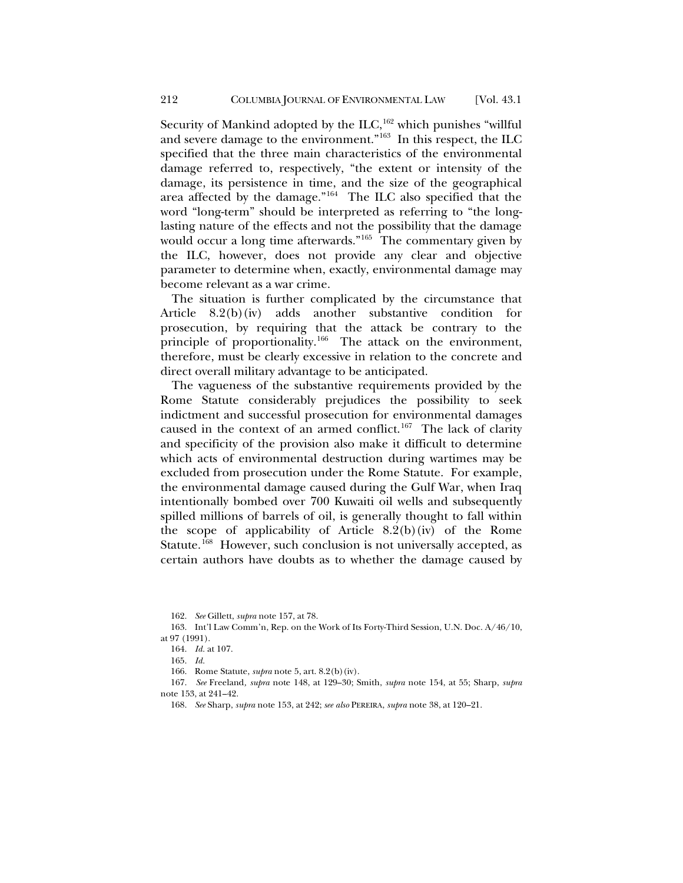Security of Mankind adopted by the ILC,  $162$  which punishes "willful and severe damage to the environment."[163](#page-31-1) In this respect, the ILC specified that the three main characteristics of the environmental damage referred to, respectively, "the extent or intensity of the damage, its persistence in time, and the size of the geographical area affected by the damage."[164](#page-31-2) The ILC also specified that the word "long-term" should be interpreted as referring to "the longlasting nature of the effects and not the possibility that the damage would occur a long time afterwards."<sup>165</sup> The commentary given by the ILC, however, does not provide any clear and objective parameter to determine when, exactly, environmental damage may become relevant as a war crime.

The situation is further complicated by the circumstance that Article 8.2(b)(iv) adds another substantive condition for prosecution, by requiring that the attack be contrary to the principle of proportionality.<sup>[166](#page-31-4)</sup> The attack on the environment, therefore, must be clearly excessive in relation to the concrete and direct overall military advantage to be anticipated.

The vagueness of the substantive requirements provided by the Rome Statute considerably prejudices the possibility to seek indictment and successful prosecution for environmental damages caused in the context of an armed conflict.<sup>167</sup> The lack of clarity and specificity of the provision also make it difficult to determine which acts of environmental destruction during wartimes may be excluded from prosecution under the Rome Statute. For example, the environmental damage caused during the Gulf War, when Iraq intentionally bombed over 700 Kuwaiti oil wells and subsequently spilled millions of barrels of oil, is generally thought to fall within the scope of applicability of Article  $8.2(b)(iv)$  of the Rome Statute.<sup>168</sup> However, such conclusion is not universally accepted, as certain authors have doubts as to whether the damage caused by

162. *See* Gillett, *supra* not[e 157,](#page-30-6) at 78.

<span id="page-31-2"></span><span id="page-31-1"></span><span id="page-31-0"></span><sup>163.</sup> Int'l Law Comm'n, Rep. on the Work of Its Forty-Third Session, U.N. Doc. A/46/10, at 97 (1991).

<sup>164.</sup> *Id.* at 107.

<sup>165.</sup> *Id.*

<sup>166.</sup> Rome Statute, *supra* not[e 5,](#page-2-5) art. 8.2(b)(iv).

<span id="page-31-6"></span><span id="page-31-5"></span><span id="page-31-4"></span><span id="page-31-3"></span><sup>167.</sup> *See* Freeland*, supra* note [148,](#page-28-8) at 129–30; Smith, *supra* not[e 154,](#page-29-0) at 55; Sharp, *supra* note [153,](#page-29-5) at 241–42.

<sup>168.</sup> *See* Sharp, *supra* not[e 153,](#page-29-5) at 242; *see also* PEREIRA, *supra* not[e 38,](#page-8-9) at 120–21.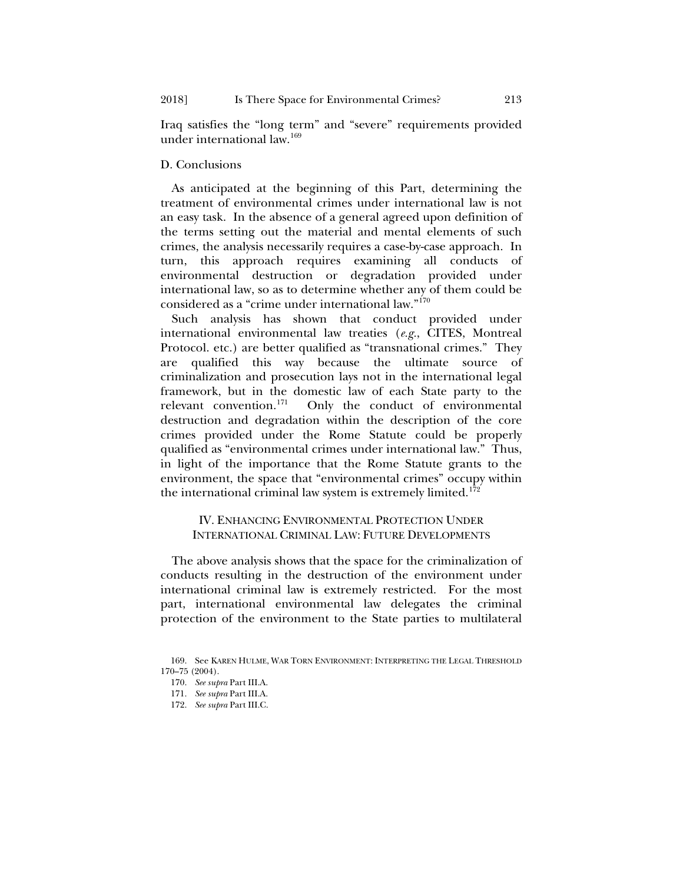Iraq satisfies the "long term" and "severe" requirements provided under international law[.169](#page-32-0)

#### D. Conclusions

As anticipated at the beginning of this Part, determining the treatment of environmental crimes under international law is not an easy task. In the absence of a general agreed upon definition of the terms setting out the material and mental elements of such crimes, the analysis necessarily requires a case-by-case approach. In turn, this approach requires examining all conducts of environmental destruction or degradation provided under international law, so as to determine whether any of them could be considered as a "crime under international law."[170](#page-32-1)

Such analysis has shown that conduct provided under international environmental law treaties (*e.g.*, CITES, Montreal Protocol. etc.) are better qualified as "transnational crimes." They are qualified this way because the ultimate source of criminalization and prosecution lays not in the international legal framework, but in the domestic law of each State party to the relevant convention.<sup>171</sup> Only the conduct of environmental Only the conduct of environmental destruction and degradation within the description of the core crimes provided under the Rome Statute could be properly qualified as "environmental crimes under international law." Thus, in light of the importance that the Rome Statute grants to the environment, the space that "environmental crimes" occupy within the international criminal law system is extremely limited.<sup>[172](#page-32-3)</sup>

## IV. ENHANCING ENVIRONMENTAL PROTECTION UNDER INTERNATIONAL CRIMINAL LAW: FUTURE DEVELOPMENTS

The above analysis shows that the space for the criminalization of conducts resulting in the destruction of the environment under international criminal law is extremely restricted. For the most part, international environmental law delegates the criminal protection of the environment to the State parties to multilateral

<span id="page-32-3"></span><span id="page-32-2"></span><span id="page-32-1"></span><span id="page-32-0"></span><sup>169.</sup> See KAREN HULME, WAR TORN ENVIRONMENT: INTERPRETING THE LEGAL THRESHOLD 170–75 (2004).

<sup>170.</sup> *See supra* Part III.A.

<sup>171.</sup> *See supra* Part III.A.

<sup>172.</sup> *See supra* Part III.C.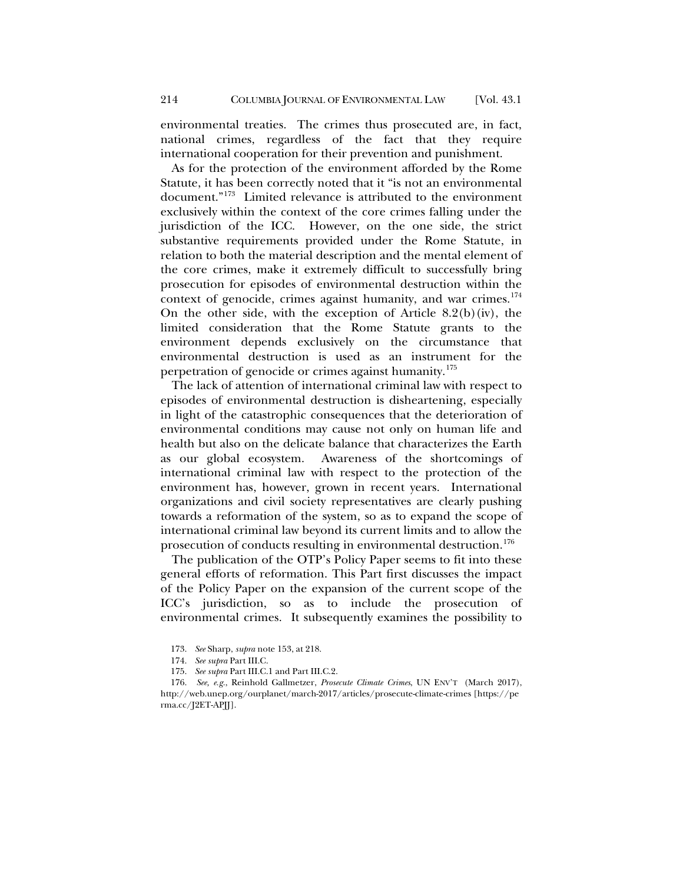environmental treaties. The crimes thus prosecuted are, in fact, national crimes, regardless of the fact that they require international cooperation for their prevention and punishment.

As for the protection of the environment afforded by the Rome Statute, it has been correctly noted that it "is not an environmental document."[173](#page-33-0) Limited relevance is attributed to the environment exclusively within the context of the core crimes falling under the jurisdiction of the ICC. However, on the one side, the strict substantive requirements provided under the Rome Statute, in relation to both the material description and the mental element of the core crimes, make it extremely difficult to successfully bring prosecution for episodes of environmental destruction within the context of genocide, crimes against humanity, and war crimes.<sup>[174](#page-33-1)</sup> On the other side, with the exception of Article  $8.2(b)(iv)$ , the limited consideration that the Rome Statute grants to the environment depends exclusively on the circumstance that environmental destruction is used as an instrument for the perpetration of genocide or crimes against humanity.<sup>[175](#page-33-2)</sup>

The lack of attention of international criminal law with respect to episodes of environmental destruction is disheartening, especially in light of the catastrophic consequences that the deterioration of environmental conditions may cause not only on human life and health but also on the delicate balance that characterizes the Earth as our global ecosystem. Awareness of the shortcomings of international criminal law with respect to the protection of the environment has, however, grown in recent years. International organizations and civil society representatives are clearly pushing towards a reformation of the system, so as to expand the scope of international criminal law beyond its current limits and to allow the prosecution of conducts resulting in environmental destruction.<sup>[176](#page-33-3)</sup>

The publication of the OTP's Policy Paper seems to fit into these general efforts of reformation. This Part first discusses the impact of the Policy Paper on the expansion of the current scope of the ICC's jurisdiction, so as to include the prosecution of environmental crimes. It subsequently examines the possibility to

175. *See supra* Part III.C.1 and Part III.C.2.

<sup>173.</sup> *See* Sharp, *supra* not[e 153,](#page-29-5) at 218.

<sup>174.</sup> *See supra* Part III.C.

<span id="page-33-3"></span><span id="page-33-2"></span><span id="page-33-1"></span><span id="page-33-0"></span><sup>176.</sup> *See, e.g.*, Reinhold Gallmetzer, *Prosecute Climate Crimes*, UN ENV'T (March 2017), http://web.unep.org/ourplanet/march-2017/articles/prosecute-climate-crimes [https://pe rma.cc/J2ET-APJJ].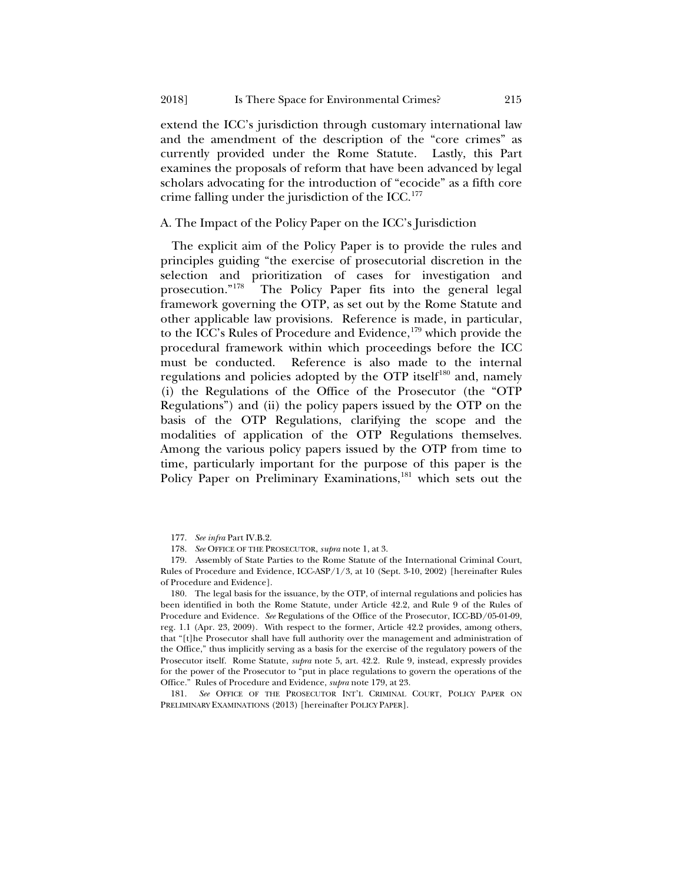extend the ICC's jurisdiction through customary international law and the amendment of the description of the "core crimes" as currently provided under the Rome Statute. Lastly, this Part examines the proposals of reform that have been advanced by legal scholars advocating for the introduction of "ecocide" as a fifth core crime falling under the jurisdiction of the ICC. $^{177}$  $^{177}$  $^{177}$ 

#### A. The Impact of the Policy Paper on the ICC's Jurisdiction

<span id="page-34-6"></span><span id="page-34-0"></span>The explicit aim of the Policy Paper is to provide the rules and principles guiding "the exercise of prosecutorial discretion in the selection and prioritization of cases for investigation and prosecution."<sup>178</sup> The Policy Paper fits into the general legal The Policy Paper fits into the general legal framework governing the OTP, as set out by the Rome Statute and other applicable law provisions. Reference is made, in particular, to the ICC's Rules of Procedure and Evidence,<sup>[179](#page-34-3)</sup> which provide the procedural framework within which proceedings before the ICC must be conducted. Reference is also made to the internal regulations and policies adopted by the OTP itself<sup>[180](#page-34-4)</sup> and, namely (i) the Regulations of the Office of the Prosecutor (the "OTP Regulations") and (ii) the policy papers issued by the OTP on the basis of the OTP Regulations, clarifying the scope and the modalities of application of the OTP Regulations themselves. Among the various policy papers issued by the OTP from time to time, particularly important for the purpose of this paper is the Policy Paper on Preliminary Examinations,<sup>181</sup> which sets out the

<span id="page-34-3"></span><span id="page-34-2"></span><span id="page-34-1"></span>179. Assembly of State Parties to the Rome Statute of the International Criminal Court, Rules of Procedure and Evidence, ICC-ASP/1/3, at 10 (Sept. 3-10, 2002) [hereinafter Rules of Procedure and Evidence].

<span id="page-34-4"></span>180. The legal basis for the issuance, by the OTP, of internal regulations and policies has been identified in both the Rome Statute, under Article 42.2, and Rule 9 of the Rules of Procedure and Evidence. *See* Regulations of the Office of the Prosecutor, ICC-BD/05-01-09, reg. 1.1 (Apr. 23, 2009). With respect to the former, Article 42.2 provides, among others, that "[t]he Prosecutor shall have full authority over the management and administration of the Office," thus implicitly serving as a basis for the exercise of the regulatory powers of the Prosecutor itself. Rome Statute, *supra* note [5,](#page-2-5) art. 42.2. Rule 9, instead, expressly provides for the power of the Prosecutor to "put in place regulations to govern the operations of the Office." Rules of Procedure and Evidence, *supra* note [179,](#page-34-0) at 23.

<span id="page-34-5"></span>181. *See* OFFICE OF THE PROSECUTOR INT'L CRIMINAL COURT, POLICY PAPER ON PRELIMINARY EXAMINATIONS (2013) [hereinafter POLICY PAPER].

<span id="page-34-7"></span><sup>177.</sup> *See infra* Part IV.B.2.

<sup>178.</sup> *See* OFFICE OF THE PROSECUTOR, *supra* not[e 1,](#page-1-0) at 3.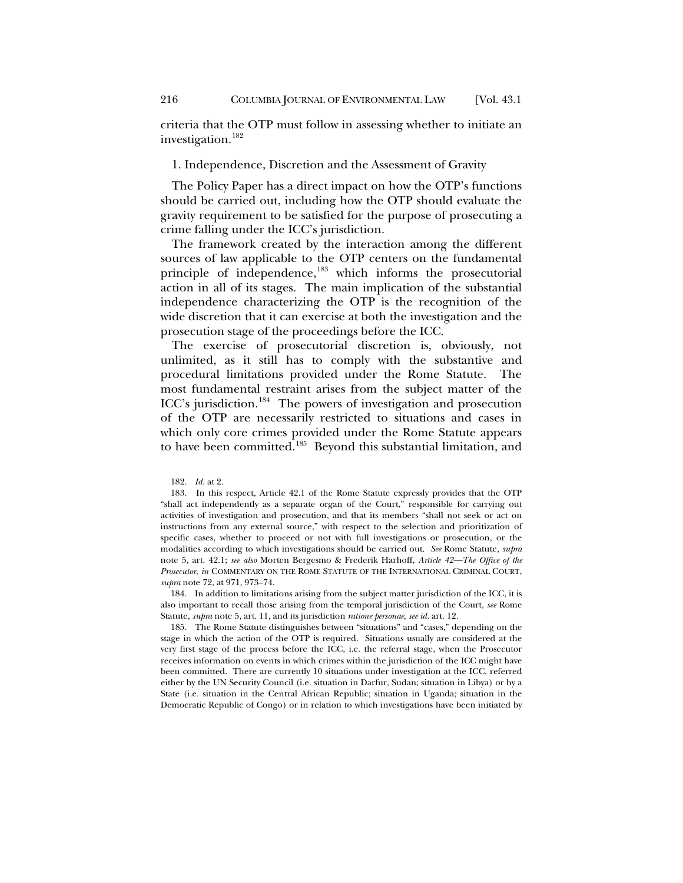criteria that the OTP must follow in assessing whether to initiate an investigation.[182](#page-35-0)

#### 1. Independence, Discretion and the Assessment of Gravity

The Policy Paper has a direct impact on how the OTP's functions should be carried out, including how the OTP should evaluate the gravity requirement to be satisfied for the purpose of prosecuting a crime falling under the ICC's jurisdiction.

The framework created by the interaction among the different sources of law applicable to the OTP centers on the fundamental principle of independence,<sup>[183](#page-35-1)</sup> which informs the prosecutorial action in all of its stages. The main implication of the substantial independence characterizing the OTP is the recognition of the wide discretion that it can exercise at both the investigation and the prosecution stage of the proceedings before the ICC.

The exercise of prosecutorial discretion is, obviously, not unlimited, as it still has to comply with the substantive and procedural limitations provided under the Rome Statute. The most fundamental restraint arises from the subject matter of the ICC's jurisdiction.[184](#page-35-2) The powers of investigation and prosecution of the OTP are necessarily restricted to situations and cases in which only core crimes provided under the Rome Statute appears to have been committed.<sup>[185](#page-35-3)</sup> Beyond this substantial limitation, and

<span id="page-35-2"></span>184. In addition to limitations arising from the subject matter jurisdiction of the ICC, it is also important to recall those arising from the temporal jurisdiction of the Court, *see* Rome Statute, *supra* not[e 5,](#page-2-5) art. 11, and its jurisdiction *ratione personae*, *see id.* art. 12.

<span id="page-35-3"></span>185. The Rome Statute distinguishes between "situations" and "cases," depending on the stage in which the action of the OTP is required. Situations usually are considered at the very first stage of the process before the ICC, i.e. the referral stage, when the Prosecutor receives information on events in which crimes within the jurisdiction of the ICC might have been committed. There are currently 10 situations under investigation at the ICC, referred either by the UN Security Council (i.e. situation in Darfur, Sudan; situation in Libya) or by a State (i.e. situation in the Central African Republic; situation in Uganda; situation in the Democratic Republic of Congo) or in relation to which investigations have been initiated by

<sup>182.</sup> *Id.* at 2.

<span id="page-35-1"></span><span id="page-35-0"></span><sup>183.</sup> In this respect, Article 42.1 of the Rome Statute expressly provides that the OTP "shall act independently as a separate organ of the Court," responsible for carrying out activities of investigation and prosecution, and that its members "shall not seek or act on instructions from any external source," with respect to the selection and prioritization of specific cases, whether to proceed or not with full investigations or prosecution, or the modalities according to which investigations should be carried out. *See* Rome Statute, *supra* note [5,](#page-2-5) art. 42.1; *see also* Morten Bergesmo & Frederik Harhoff, *Article 42—The Office of the Prosecutor*, *in* COMMENTARY ON THE ROME STATUTE OF THE INTERNATIONAL CRIMINAL COURT, *supra* note [72,](#page-13-7) at 971, 973–74.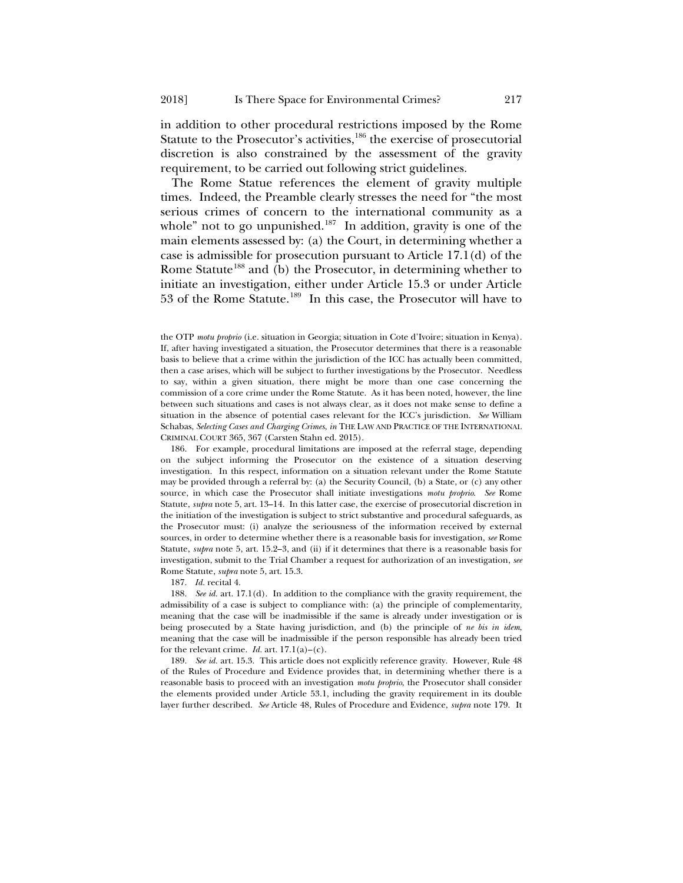in addition to other procedural restrictions imposed by the Rome Statute to the Prosecutor's activities, $186$  the exercise of prosecutorial discretion is also constrained by the assessment of the gravity requirement, to be carried out following strict guidelines.

The Rome Statue references the element of gravity multiple times. Indeed, the Preamble clearly stresses the need for "the most serious crimes of concern to the international community as a whole" not to go unpunished.<sup>[187](#page-36-1)</sup> In addition, gravity is one of the main elements assessed by: (a) the Court, in determining whether a case is admissible for prosecution pursuant to Article 17.1(d) of the Rome Statute<sup>[188](#page-36-2)</sup> and (b) the Prosecutor, in determining whether to initiate an investigation, either under Article 15.3 or under Article 53 of the Rome Statute.[189](#page-36-3) In this case, the Prosecutor will have to

<span id="page-36-0"></span>186. For example, procedural limitations are imposed at the referral stage, depending on the subject informing the Prosecutor on the existence of a situation deserving investigation. In this respect, information on a situation relevant under the Rome Statute may be provided through a referral by: (a) the Security Council, (b) a State, or (c) any other source, in which case the Prosecutor shall initiate investigations *motu proprio*. *See* Rome Statute, *supra* not[e 5,](#page-2-5) art. 13–14. In this latter case, the exercise of prosecutorial discretion in the initiation of the investigation is subject to strict substantive and procedural safeguards, as the Prosecutor must: (i) analyze the seriousness of the information received by external sources, in order to determine whether there is a reasonable basis for investigation, *see* Rome Statute, *supra* note [5,](#page-2-5) art. 15.2–3, and (ii) if it determines that there is a reasonable basis for investigation, submit to the Trial Chamber a request for authorization of an investigation, *see* Rome Statute, *supra* note [5,](#page-2-5) art. 15.3.

187. *Id.* recital 4.

<span id="page-36-2"></span><span id="page-36-1"></span>188. *See id.* art. 17.1(d). In addition to the compliance with the gravity requirement, the admissibility of a case is subject to compliance with: (a) the principle of complementarity, meaning that the case will be inadmissible if the same is already under investigation or is being prosecuted by a State having jurisdiction, and (b) the principle of *ne bis in idem*, meaning that the case will be inadmissible if the person responsible has already been tried for the relevant crime. *Id.* art.  $17.1(a)-(c)$ .

<span id="page-36-3"></span>189. *See id.* art. 15.3. This article does not explicitly reference gravity. However, Rule 48 of the Rules of Procedure and Evidence provides that, in determining whether there is a reasonable basis to proceed with an investigation *motu proprio*, the Prosecutor shall consider the elements provided under Article 53.1, including the gravity requirement in its double layer further described. *See* Article 48, Rules of Procedure and Evidence, *supra* note [179.](#page-34-0) It

the OTP *motu proprio* (i.e. situation in Georgia; situation in Cote d'Ivoire; situation in Kenya). If, after having investigated a situation, the Prosecutor determines that there is a reasonable basis to believe that a crime within the jurisdiction of the ICC has actually been committed, then a case arises, which will be subject to further investigations by the Prosecutor. Needless to say, within a given situation, there might be more than one case concerning the commission of a core crime under the Rome Statute. As it has been noted, however, the line between such situations and cases is not always clear, as it does not make sense to define a situation in the absence of potential cases relevant for the ICC's jurisdiction. *See* William Schabas, *Selecting Cases and Charging Crimes*, *in* THE LAW AND PRACTICE OF THE INTERNATIONAL CRIMINAL COURT 365, 367 (Carsten Stahn ed. 2015).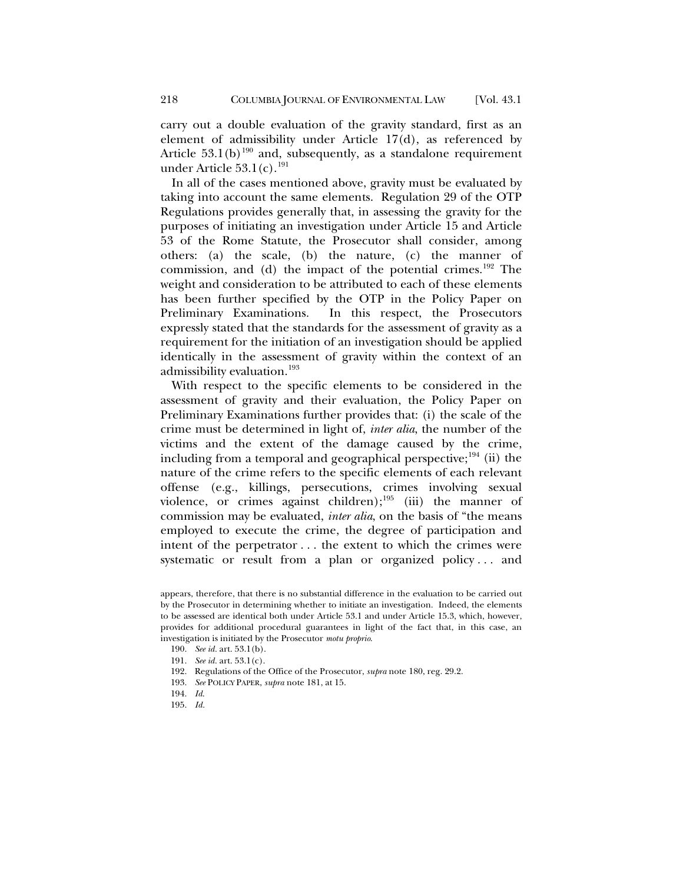carry out a double evaluation of the gravity standard, first as an element of admissibility under Article 17(d), as referenced by Article  $53.1(b)^{190}$  $53.1(b)^{190}$  $53.1(b)^{190}$  and, subsequently, as a standalone requirement under Article  $53.1(c).^{191}$  $53.1(c).^{191}$  $53.1(c).^{191}$ 

In all of the cases mentioned above, gravity must be evaluated by taking into account the same elements. Regulation 29 of the OTP Regulations provides generally that, in assessing the gravity for the purposes of initiating an investigation under Article 15 and Article 53 of the Rome Statute, the Prosecutor shall consider, among others: (a) the scale, (b) the nature, (c) the manner of commission, and (d) the impact of the potential crimes.<sup>[192](#page-37-2)</sup> The weight and consideration to be attributed to each of these elements has been further specified by the OTP in the Policy Paper on Preliminary Examinations. In this respect, the Prosecutors expressly stated that the standards for the assessment of gravity as a requirement for the initiation of an investigation should be applied identically in the assessment of gravity within the context of an admissibility evaluation[.193](#page-37-3)

With respect to the specific elements to be considered in the assessment of gravity and their evaluation, the Policy Paper on Preliminary Examinations further provides that: (i) the scale of the crime must be determined in light of, *inter alia*, the number of the victims and the extent of the damage caused by the crime, including from a temporal and geographical perspective;<sup>[194](#page-37-4)</sup> (ii) the nature of the crime refers to the specific elements of each relevant offense (e.g., killings, persecutions, crimes involving sexual violence, or crimes against children);<sup>[195](#page-37-5)</sup> (iii) the manner of commission may be evaluated, *inter alia*, on the basis of "the means employed to execute the crime, the degree of participation and intent of the perpetrator . . . the extent to which the crimes were systematic or result from a plan or organized policy... and

- <span id="page-37-1"></span>191. *See id.* art. 53.1(c).
- <span id="page-37-2"></span>192. Regulations of the Office of the Prosecutor, *supra* not[e 180,](#page-34-6) reg. 29.2.
- <span id="page-37-3"></span>193. *See* POLICY PAPER, *supra* note [181,](#page-34-7) at 15.
- <span id="page-37-4"></span>194. *Id*.
- <span id="page-37-5"></span>195. *Id.*

<span id="page-37-0"></span>appears, therefore, that there is no substantial difference in the evaluation to be carried out by the Prosecutor in determining whether to initiate an investigation. Indeed, the elements to be assessed are identical both under Article 53.1 and under Article 15.3, which, however, provides for additional procedural guarantees in light of the fact that, in this case, an investigation is initiated by the Prosecutor *motu proprio*.

<sup>190.</sup> *See id.* art. 53.1(b).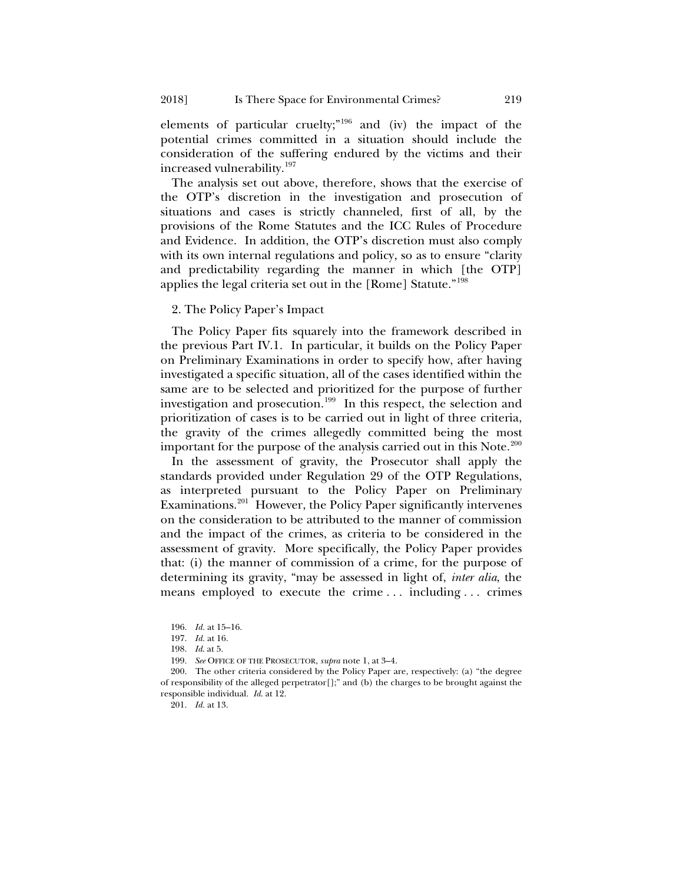elements of particular cruelty;"<sup>[196](#page-38-0)</sup> and (iv) the impact of the potential crimes committed in a situation should include the consideration of the suffering endured by the victims and their increased vulnerability[.197](#page-38-1)

The analysis set out above, therefore, shows that the exercise of the OTP's discretion in the investigation and prosecution of situations and cases is strictly channeled, first of all, by the provisions of the Rome Statutes and the ICC Rules of Procedure and Evidence. In addition, the OTP's discretion must also comply with its own internal regulations and policy, so as to ensure "clarity and predictability regarding the manner in which [the OTP] applies the legal criteria set out in the [Rome] Statute."[198](#page-38-2)

#### 2. The Policy Paper's Impact

The Policy Paper fits squarely into the framework described in the previous Part IV.1. In particular, it builds on the Policy Paper on Preliminary Examinations in order to specify how, after having investigated a specific situation, all of the cases identified within the same are to be selected and prioritized for the purpose of further investigation and prosecution.[199](#page-38-3) In this respect, the selection and prioritization of cases is to be carried out in light of three criteria, the gravity of the crimes allegedly committed being the most important for the purpose of the analysis carried out in this Note.<sup>[200](#page-38-4)</sup>

In the assessment of gravity, the Prosecutor shall apply the standards provided under Regulation 29 of the OTP Regulations, as interpreted pursuant to the Policy Paper on Preliminary Examinations.<sup>201</sup> However, the Policy Paper significantly intervenes on the consideration to be attributed to the manner of commission and the impact of the crimes, as criteria to be considered in the assessment of gravity. More specifically, the Policy Paper provides that: (i) the manner of commission of a crime, for the purpose of determining its gravity, "may be assessed in light of, *inter alia*, the means employed to execute the crime . . . including . . . crimes

<sup>196.</sup> *Id.* at 15–16.

<sup>197.</sup> *Id.* at 16.

<sup>198.</sup> *Id*. at 5.

<sup>199.</sup> *See* OFFICE OF THE PROSECUTOR, *supra* not[e 1,](#page-1-0) at 3–4.

<span id="page-38-5"></span><span id="page-38-4"></span><span id="page-38-3"></span><span id="page-38-2"></span><span id="page-38-1"></span><span id="page-38-0"></span><sup>200.</sup> The other criteria considered by the Policy Paper are, respectively: (a) "the degree of responsibility of the alleged perpetrator  $[]$ ;" and (b) the charges to be brought against the responsible individual. *Id*. at 12.

<sup>201.</sup> *Id.* at 13.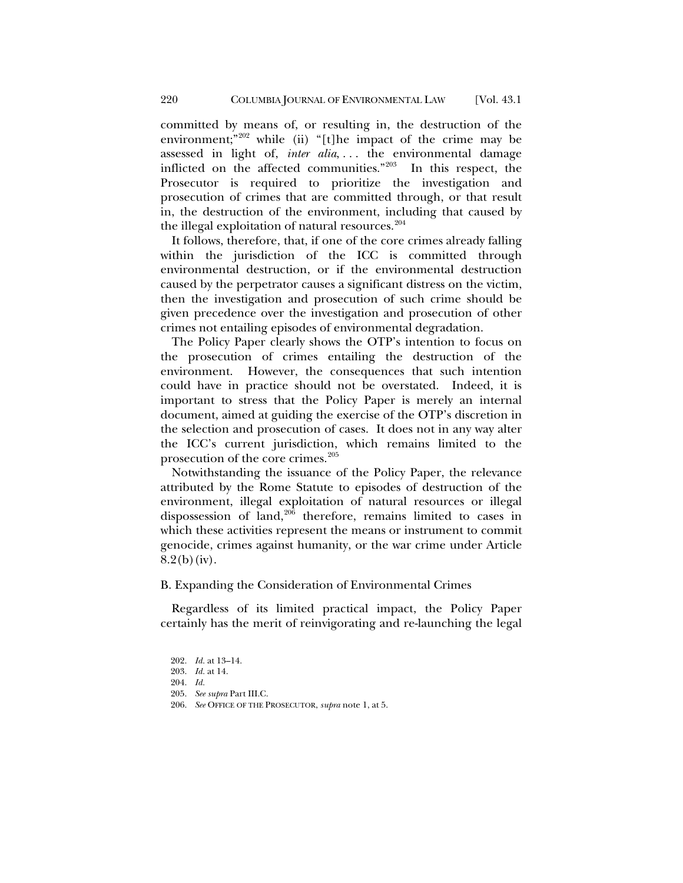committed by means of, or resulting in, the destruction of the environment;"<sup>[202](#page-39-0)</sup> while (ii) "[t]he impact of the crime may be assessed in light of, *inter alia*, ... the environmental damage inflicted on the affected communities."[203](#page-39-1) In this respect, the Prosecutor is required to prioritize the investigation and prosecution of crimes that are committed through, or that result in, the destruction of the environment, including that caused by the illegal exploitation of natural resources. $204$ 

It follows, therefore, that, if one of the core crimes already falling within the jurisdiction of the ICC is committed through environmental destruction, or if the environmental destruction caused by the perpetrator causes a significant distress on the victim, then the investigation and prosecution of such crime should be given precedence over the investigation and prosecution of other crimes not entailing episodes of environmental degradation.

The Policy Paper clearly shows the OTP's intention to focus on the prosecution of crimes entailing the destruction of the environment. However, the consequences that such intention could have in practice should not be overstated. Indeed, it is important to stress that the Policy Paper is merely an internal document, aimed at guiding the exercise of the OTP's discretion in the selection and prosecution of cases. It does not in any way alter the ICC's current jurisdiction, which remains limited to the prosecution of the core crimes.<sup>[205](#page-39-3)</sup>

Notwithstanding the issuance of the Policy Paper, the relevance attributed by the Rome Statute to episodes of destruction of the environment, illegal exploitation of natural resources or illegal dispossession of land, $206$  therefore, remains limited to cases in which these activities represent the means or instrument to commit genocide, crimes against humanity, or the war crime under Article  $8.2(b)(iv)$ .

#### B. Expanding the Consideration of Environmental Crimes

<span id="page-39-0"></span>Regardless of its limited practical impact, the Policy Paper certainly has the merit of reinvigorating and re-launching the legal

<span id="page-39-4"></span><span id="page-39-3"></span><span id="page-39-2"></span>206. *See* OFFICE OF THE PROSECUTOR, *supra* not[e 1,](#page-1-0) at 5.

<span id="page-39-1"></span><sup>202.</sup> *Id.* at 13–14. 203. *Id.* at 14. 204. *Id.* 205. *See supra* Part III.C.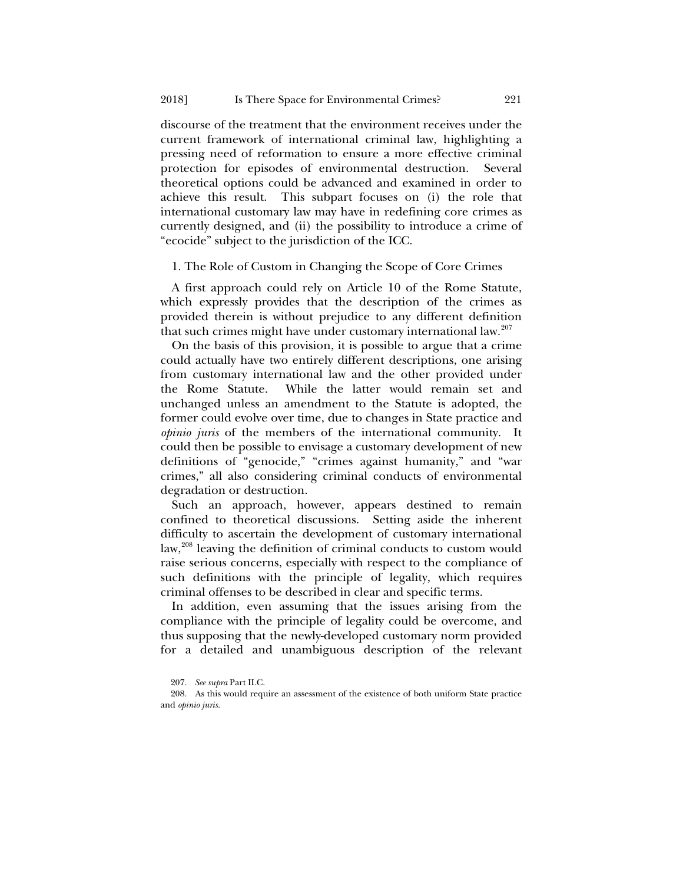discourse of the treatment that the environment receives under the current framework of international criminal law, highlighting a pressing need of reformation to ensure a more effective criminal protection for episodes of environmental destruction. Several theoretical options could be advanced and examined in order to achieve this result. This subpart focuses on (i) the role that international customary law may have in redefining core crimes as currently designed, and (ii) the possibility to introduce a crime of "ecocide" subject to the jurisdiction of the ICC.

## 1. The Role of Custom in Changing the Scope of Core Crimes

A first approach could rely on Article 10 of the Rome Statute, which expressly provides that the description of the crimes as provided therein is without prejudice to any different definition that such crimes might have under customary international law.<sup>[207](#page-40-0)</sup>

On the basis of this provision, it is possible to argue that a crime could actually have two entirely different descriptions, one arising from customary international law and the other provided under the Rome Statute. While the latter would remain set and unchanged unless an amendment to the Statute is adopted, the former could evolve over time, due to changes in State practice and *opinio juris* of the members of the international community. It could then be possible to envisage a customary development of new definitions of "genocide," "crimes against humanity," and "war crimes," all also considering criminal conducts of environmental degradation or destruction.

Such an approach, however, appears destined to remain confined to theoretical discussions. Setting aside the inherent difficulty to ascertain the development of customary international law,<sup>[208](#page-40-1)</sup> leaving the definition of criminal conducts to custom would raise serious concerns, especially with respect to the compliance of such definitions with the principle of legality, which requires criminal offenses to be described in clear and specific terms.

In addition, even assuming that the issues arising from the compliance with the principle of legality could be overcome, and thus supposing that the newly-developed customary norm provided for a detailed and unambiguous description of the relevant

<sup>207.</sup> *See supra* Part II.C.

<span id="page-40-1"></span><span id="page-40-0"></span><sup>208.</sup> As this would require an assessment of the existence of both uniform State practice and *opinio juris.*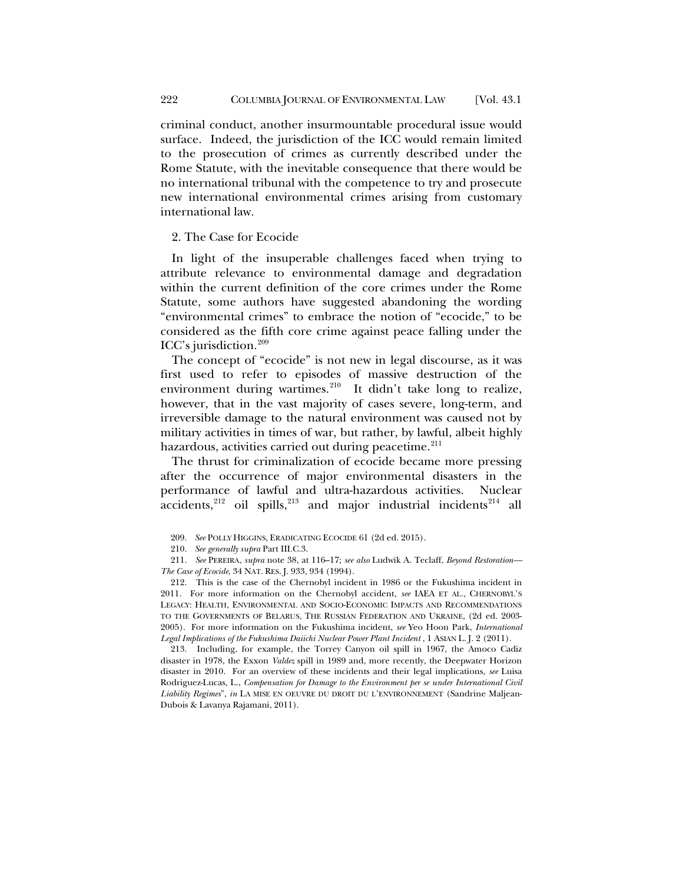criminal conduct, another insurmountable procedural issue would surface. Indeed, the jurisdiction of the ICC would remain limited to the prosecution of crimes as currently described under the Rome Statute, with the inevitable consequence that there would be no international tribunal with the competence to try and prosecute new international environmental crimes arising from customary international law.

2. The Case for Ecocide

In light of the insuperable challenges faced when trying to attribute relevance to environmental damage and degradation within the current definition of the core crimes under the Rome Statute, some authors have suggested abandoning the wording "environmental crimes" to embrace the notion of "ecocide," to be considered as the fifth core crime against peace falling under the ICC's jurisdiction. $209$ 

<span id="page-41-6"></span>The concept of "ecocide" is not new in legal discourse, as it was first used to refer to episodes of massive destruction of the environment during wartimes.<sup>210</sup> It didn't take long to realize, however, that in the vast majority of cases severe, long-term, and irreversible damage to the natural environment was caused not by military activities in times of war, but rather, by lawful, albeit highly hazardous, activities carried out during peacetime.<sup>[211](#page-41-2)</sup>

The thrust for criminalization of ecocide became more pressing after the occurrence of major environmental disasters in the performance of lawful and ultra-hazardous activities. Nuclear accidents, $^{212}$  $^{212}$  $^{212}$  oil spills, $^{213}$  $^{213}$  $^{213}$  and major industrial incidents $^{214}$  $^{214}$  $^{214}$  all

<span id="page-41-4"></span>213. Including, for example, the Torrey Canyon oil spill in 1967, the Amoco Cadiz disaster in 1978, the Exxon *Valdez* spill in 1989 and, more recently, the Deepwater Horizon disaster in 2010. For an overview of these incidents and their legal implications, *see* Luisa Rodriguez-Lucas, L., *Compensation for Damage to the Environment per se under International Civil Liability Regimes*", *in* LA MISE EN OEUVRE DU DROIT DU L'ENVIRONNEMENT (Sandrine Maljean-Dubois & Lavanya Rajamani, 2011).

<sup>209.</sup> *See* POLLY HIGGINS, ERADICATING ECOCIDE 61 (2d ed. 2015).

<sup>210.</sup> *See generally supra* Part III.C.3.

<span id="page-41-1"></span><span id="page-41-0"></span><sup>211.</sup> *See* PEREIRA, *supra* not[e 38,](#page-8-9) at 116–17; *see also* Ludwik A. Teclaff, *Beyond Restoration— The Case of Ecocide*, 34 NAT. RES. J. 933, 934 (1994).

<span id="page-41-5"></span><span id="page-41-3"></span><span id="page-41-2"></span><sup>212.</sup> This is the case of the Chernobyl incident in 1986 or the Fukushima incident in 2011. For more information on the Chernobyl accident, *see* IAEA ET AL., CHERNOBYL'S LEGACY: HEALTH, ENVIRONMENTAL AND SOCIO-ECONOMIC IMPACTS AND RECOMMENDATIONS TO THE GOVERNMENTS OF BELARUS, THE RUSSIAN FEDERATION AND UKRAINE, (2d ed. 2003- 2005). For more information on the Fukushima incident, *see* Yeo Hoon Park, *International Legal Implications of the Fukushima Daiichi Nuclear Power Plant Incident* , 1 ASIAN L. J. 2 (2011).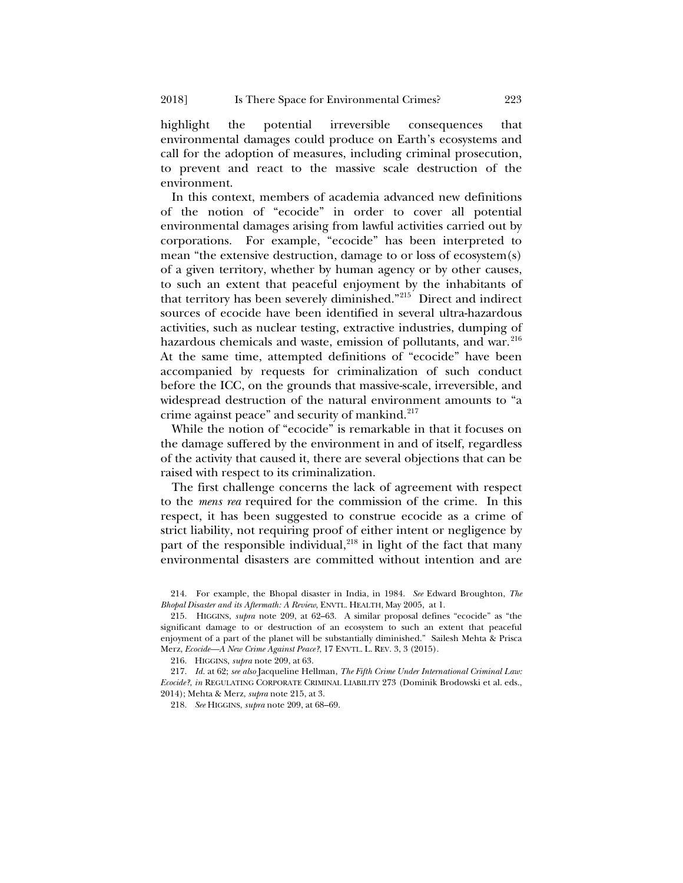highlight the potential irreversible consequences that environmental damages could produce on Earth's ecosystems and call for the adoption of measures, including criminal prosecution, to prevent and react to the massive scale destruction of the environment.

<span id="page-42-0"></span>In this context, members of academia advanced new definitions of the notion of "ecocide" in order to cover all potential environmental damages arising from lawful activities carried out by corporations. For example, "ecocide" has been interpreted to mean "the extensive destruction, damage to or loss of ecosystem(s) of a given territory, whether by human agency or by other causes, to such an extent that peaceful enjoyment by the inhabitants of that territory has been severely diminished."[215](#page-42-1) Direct and indirect sources of ecocide have been identified in several ultra-hazardous activities, such as nuclear testing, extractive industries, dumping of hazardous chemicals and waste, emission of pollutants, and war.<sup>[216](#page-42-2)</sup> At the same time, attempted definitions of "ecocide" have been accompanied by requests for criminalization of such conduct before the ICC, on the grounds that massive-scale, irreversible, and widespread destruction of the natural environment amounts to "a crime against peace" and security of mankind.<sup>[217](#page-42-3)</sup>

While the notion of "ecocide" is remarkable in that it focuses on the damage suffered by the environment in and of itself, regardless of the activity that caused it, there are several objections that can be raised with respect to its criminalization.

The first challenge concerns the lack of agreement with respect to the *mens rea* required for the commission of the crime. In this respect, it has been suggested to construe ecocide as a crime of strict liability, not requiring proof of either intent or negligence by part of the responsible individual, $^{218}$  $^{218}$  $^{218}$  in light of the fact that many environmental disasters are committed without intention and are

216. HIGGINS, *supra* not[e 209,](#page-41-6) at 63.

218. *See* HIGGINS, *supra* not[e 209,](#page-41-6) at 68–69.

<sup>214.</sup> For example, the Bhopal disaster in India, in 1984. *See* Edward Broughton, *The Bhopal Disaster and its Aftermath: A Review*, ENVTL. HEALTH, May 2005, at 1.

<span id="page-42-1"></span><sup>215.</sup> HIGGINS, *supra* note [209,](#page-41-6) at 62–63. A similar proposal defines "ecocide" as "the significant damage to or destruction of an ecosystem to such an extent that peaceful enjoyment of a part of the planet will be substantially diminished." Sailesh Mehta & Prisca Merz, *Ecocide—A New Crime Against Peace?*, 17 ENVTL. L. REV. 3, 3 (2015).

<span id="page-42-4"></span><span id="page-42-3"></span><span id="page-42-2"></span><sup>217.</sup> *Id.* at 62; *see also* Jacqueline Hellman, *The Fifth Crime Under International Criminal Law: Ecocide?*, *in* REGULATING CORPORATE CRIMINAL LIABILITY 273 (Dominik Brodowski et al. eds., 2014); Mehta & Merz, *supra* not[e 215,](#page-42-0) at 3.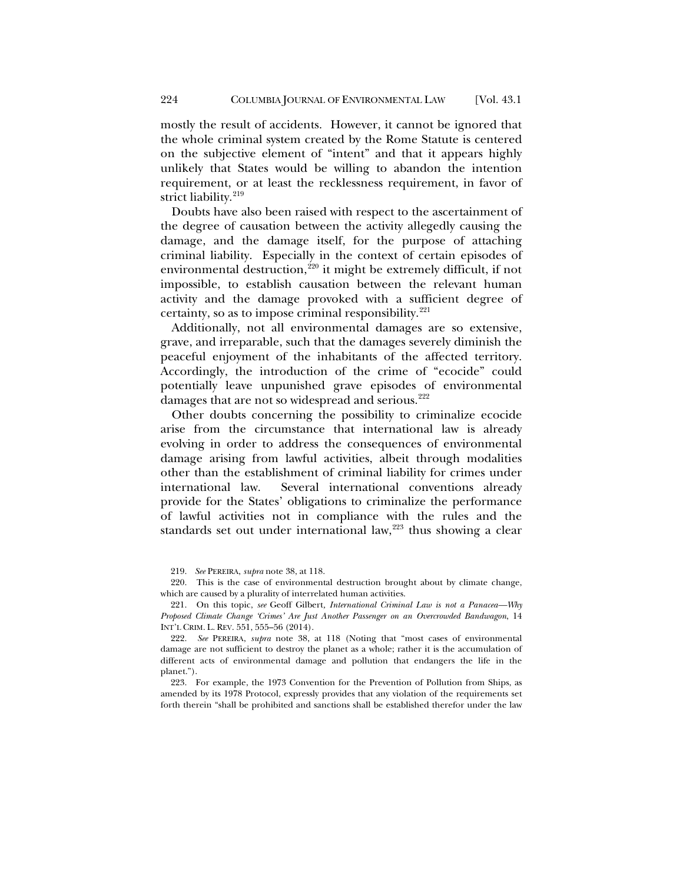mostly the result of accidents. However, it cannot be ignored that the whole criminal system created by the Rome Statute is centered on the subjective element of "intent" and that it appears highly unlikely that States would be willing to abandon the intention requirement, or at least the recklessness requirement, in favor of strict liability.<sup>[219](#page-43-0)</sup>

Doubts have also been raised with respect to the ascertainment of the degree of causation between the activity allegedly causing the damage, and the damage itself, for the purpose of attaching criminal liability. Especially in the context of certain episodes of environmental destruction,<sup>[220](#page-43-1)</sup> it might be extremely difficult, if not impossible, to establish causation between the relevant human activity and the damage provoked with a sufficient degree of certainty, so as to impose criminal responsibility. $221$ 

Additionally, not all environmental damages are so extensive, grave, and irreparable, such that the damages severely diminish the peaceful enjoyment of the inhabitants of the affected territory. Accordingly, the introduction of the crime of "ecocide" could potentially leave unpunished grave episodes of environmental damages that are not so widespread and serious.<sup>[222](#page-43-3)</sup>

Other doubts concerning the possibility to criminalize ecocide arise from the circumstance that international law is already evolving in order to address the consequences of environmental damage arising from lawful activities, albeit through modalities other than the establishment of criminal liability for crimes under international law. Several international conventions already provide for the States' obligations to criminalize the performance of lawful activities not in compliance with the rules and the standards set out under international law, $223$  thus showing a clear

<span id="page-43-4"></span>223. For example, the 1973 Convention for the Prevention of Pollution from Ships, as amended by its 1978 Protocol, expressly provides that any violation of the requirements set forth therein "shall be prohibited and sanctions shall be established therefor under the law

<sup>219.</sup> *See* PEREIRA, *supra* note [38,](#page-8-9) at 118.

<span id="page-43-1"></span><span id="page-43-0"></span><sup>220.</sup> This is the case of environmental destruction brought about by climate change, which are caused by a plurality of interrelated human activities.

<span id="page-43-2"></span><sup>221.</sup> On this topic, *see* Geoff Gilbert*, International Criminal Law is not a Panacea—Why Proposed Climate Change 'Crimes' Are Just Another Passenger on an Overcrowded Bandwagon*, 14 INT'L CRIM. L. REV. 551, 555–56 (2014).

<span id="page-43-3"></span><sup>222.</sup> *See* PEREIRA, *supra* note [38,](#page-8-9) at 118 (Noting that "most cases of environmental damage are not sufficient to destroy the planet as a whole; rather it is the accumulation of different acts of environmental damage and pollution that endangers the life in the planet.").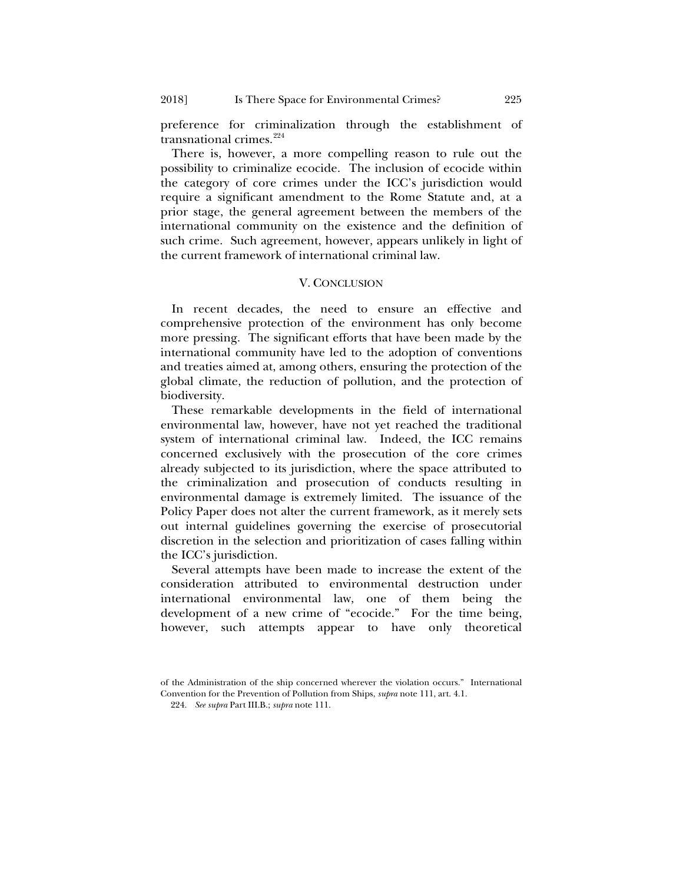preference for criminalization through the establishment of transnational crimes. $^{224}$  $^{224}$  $^{224}$ 

There is, however, a more compelling reason to rule out the possibility to criminalize ecocide. The inclusion of ecocide within the category of core crimes under the ICC's jurisdiction would require a significant amendment to the Rome Statute and, at a prior stage, the general agreement between the members of the international community on the existence and the definition of such crime. Such agreement, however, appears unlikely in light of the current framework of international criminal law.

## V. CONCLUSION

In recent decades, the need to ensure an effective and comprehensive protection of the environment has only become more pressing. The significant efforts that have been made by the international community have led to the adoption of conventions and treaties aimed at, among others, ensuring the protection of the global climate, the reduction of pollution, and the protection of biodiversity.

These remarkable developments in the field of international environmental law, however, have not yet reached the traditional system of international criminal law. Indeed, the ICC remains concerned exclusively with the prosecution of the core crimes already subjected to its jurisdiction, where the space attributed to the criminalization and prosecution of conducts resulting in environmental damage is extremely limited. The issuance of the Policy Paper does not alter the current framework, as it merely sets out internal guidelines governing the exercise of prosecutorial discretion in the selection and prioritization of cases falling within the ICC's jurisdiction.

Several attempts have been made to increase the extent of the consideration attributed to environmental destruction under international environmental law, one of them being the development of a new crime of "ecocide." For the time being, however, such attempts appear to have only theoretical

<span id="page-44-0"></span>of the Administration of the ship concerned wherever the violation occurs." International Convention for the Prevention of Pollution from Ships, *supra* not[e 111,](#page-22-3) art. 4.1.

<sup>224.</sup> *See supra* Part III.B.; *supra* not[e 111.](#page-22-3)